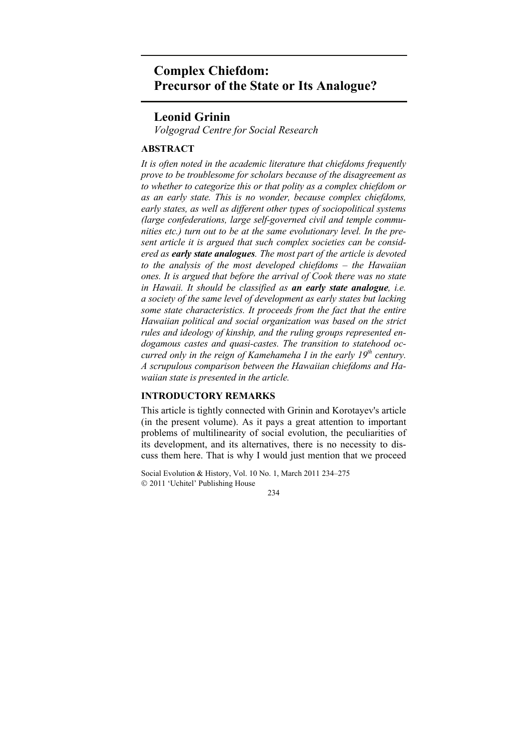# **Complex Chiefdom: Precursor of the State or Its Analogue?**

## **Leonid Grinin**

*Volgograd Centre for Social Research* 

## **ABSTRACT**

*It is often noted in the academic literature that chiefdoms frequently prove to be troublesome for scholars because of the disagreement as to whether to categorize this or that polity as a complex chiefdom or as an early state. This is no wonder, because complex chiefdoms, early states, as well as different other types of sociopolitical systems (large confederations, large self-governed civil and temple communities etc.) turn out to be at the same evolutionary level. In the present article it is argued that such complex societies can be considered as early state analogues. The most part of the article is devoted to the analysis of the most developed chiefdoms – the Hawaiian ones. It is argued that before the arrival of Cook there was no state in Hawaii. It should be classified as an early state analogue, i.e. a society of the same level of development as early states but lacking some state characteristics. It proceeds from the fact that the entire Hawaiian political and social organization was based on the strict rules and ideology of kinship, and the ruling groups represented endogamous castes and quasi-castes. The transition to statehood occurred only in the reign of Kamehameha I in the early 19<sup>th</sup> century. A scrupulous comparison between the Hawaiian chiefdoms and Hawaiian state is presented in the article.* 

## **INTRODUCTORY REMARKS**

This article is tightly connected with Grinin and Korotayev's article (in the present volume). As it pays a great attention to important problems of multilinearity of social evolution, the peculiarities of its development, and its alternatives, there is no necessity to discuss them here. That is why I would just mention that we proceed

Social Evolution & History, Vol. 10 No. 1, March 2011 234–275 2011 'Uchitel' Publishing House

234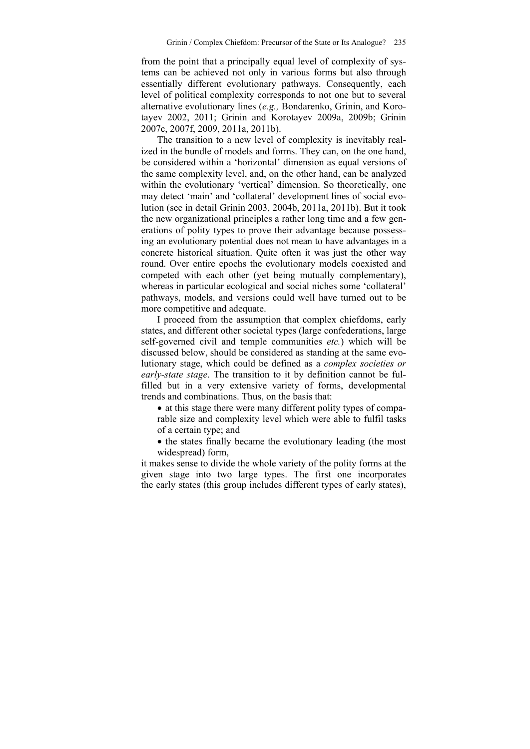from the point that a principally equal level of complexity of systems can be achieved not only in various forms but also through essentially different evolutionary pathways. Consequently, each level of political complexity corresponds to not one but to several alternative evolutionary lines (*e.g.,* Bondarenko, Grinin, and Korotayev 2002, 2011; Grinin and Korotayev 2009a, 2009b; Grinin 2007c, 2007f, 2009, 2011a, 2011b).

The transition to a new level of complexity is inevitably realized in the bundle of models and forms. They can, on the one hand, be considered within a 'horizontal' dimension as equal versions of the same complexity level, and, on the other hand, can be analyzed within the evolutionary 'vertical' dimension. So theoretically, one may detect 'main' and 'collateral' development lines of social evolution (see in detail Grinin 2003, 2004b, 2011a, 2011b). But it took the new organizational principles a rather long time and a few generations of polity types to prove their advantage because possessing an evolutionary potential does not mean to have advantages in a concrete historical situation. Quite often it was just the other way round. Over entire epochs the evolutionary models coexisted and competed with each other (yet being mutually complementary), whereas in particular ecological and social niches some 'collateral' pathways, models, and versions could well have turned out to be more competitive and adequate.

I proceed from the assumption that complex chiefdoms, early states, and different other societal types (large confederations, large self-governed civil and temple communities *etc.*) which will be discussed below, should be considered as standing at the same evolutionary stage, which could be defined as a *complex societies or early-state stage*. The transition to it by definition cannot be fulfilled but in a very extensive variety of forms, developmental trends and combinations. Thus, on the basis that:

• at this stage there were many different polity types of comparable size and complexity level which were able to fulfil tasks of a certain type; and

• the states finally became the evolutionary leading (the most widespread) form,

it makes sense to divide the whole variety of the polity forms at the given stage into two large types. The first one incorporates the early states (this group includes different types of early states),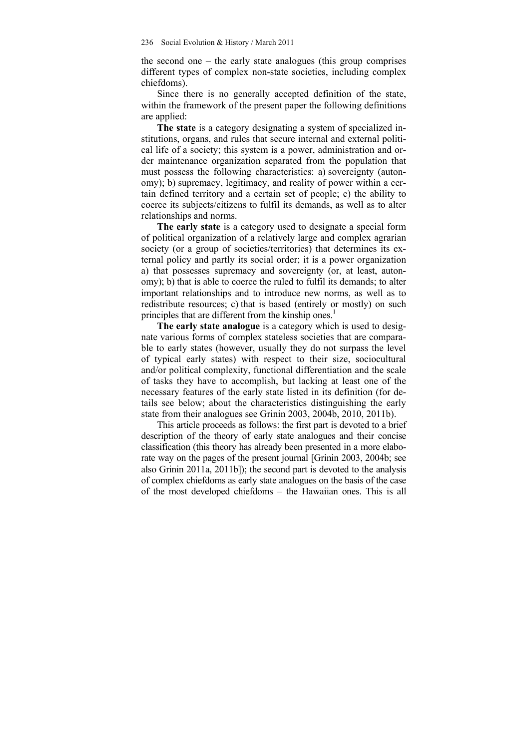the second one – the early state analogues (this group comprises different types of complex non-state societies, including complex chiefdoms).

Since there is no generally accepted definition of the state, within the framework of the present paper the following definitions are applied:

**The state** is a category designating a system of specialized institutions, organs, and rules that secure internal and external political life of a society; this system is a power, administration and order maintenance organization separated from the population that must possess the following characteristics: а) sovereignty (autonomy); b) supremacy, legitimacy, and reality of power within a certain defined territory and a certain set of people; c) the ability to coerce its subjects/citizens to fulfil its demands, as well as to alter relationships and norms.

**The early state** is a category used to designate a special form of political organization of a relatively large and complex agrarian society (or a group of societies/territories) that determines its external policy and partly its social order; it is a power organization a) that possesses supremacy and sovereignty (or, at least, autonomy); b) that is able to coerce the ruled to fulfil its demands; to alter important relationships and to introduce new norms, as well as to redistribute resources; c) that is based (entirely or mostly) on such principles that are different from the kinship ones.<sup>1</sup>

**The early state analogue** is a category which is used to designate various forms of complex stateless societies that are comparable to early states (however, usually they do not surpass the level of typical early states) with respect to their size, sociocultural and/or political complexity, functional differentiation and the scale of tasks they have to accomplish, but lacking at least one of the necessary features of the early state listed in its definition (for details see below; about the characteristics distinguishing the early state from their analogues see Grinin 2003, 2004b, 2010, 2011b).

This article proceeds as follows: the first part is devoted to a brief description of the theory of early state analogues and their concise classification (this theory has already been presented in a more elaborate way on the pages of the present journal [Grinin 2003, 2004b; see also Grinin 2011a, 2011b]); the second part is devoted to the analysis of complex chiefdoms as early state analogues on the basis of the case of the most developed chiefdoms – the Hawaiian ones. This is all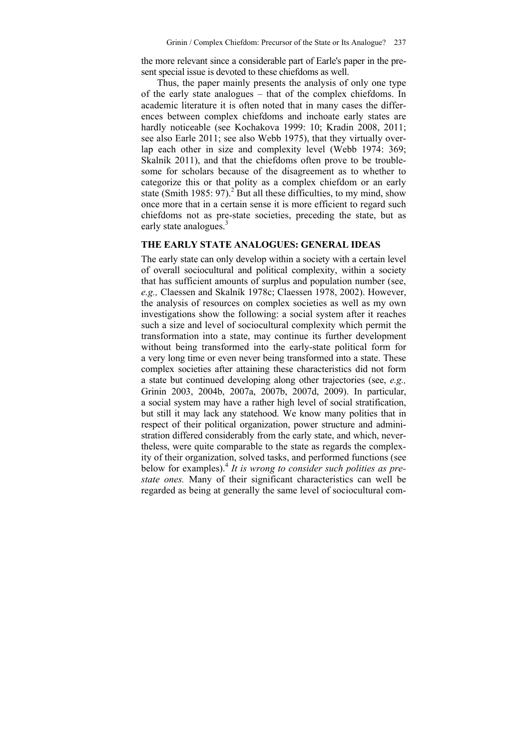the more relevant since a considerable part of Earle's paper in the present special issue is devoted to these chiefdoms as well.

Thus, the paper mainly presents the analysis of only one type of the early state analogues – that of the complex chiefdoms. In academic literature it is often noted that in many cases the differences between complex chiefdoms and inchoate early states are hardly noticeable (see Kochakova 1999: 10; Kradin 2008, 2011; see also Earle 2011; see also Webb 1975), that they virtually overlap each other in size and complexity level (Webb 1974: 369; Skalník 2011), and that the chiefdoms often prove to be troublesome for scholars because of the disagreement as to whether to categorize this or that polity as a complex chiefdom or an early state (Smith 1985: 97).<sup>2</sup> But all these difficulties, to my mind, show once more that in a certain sense it is more efficient to regard such chiefdoms not as pre-state societies, preceding the state, but as early state analogues.<sup>3</sup>

### **THE EARLY STATE ANALOGUES: GENERAL IDEAS**

The early state can only develop within a society with a certain level of overall sociocultural and political complexity, within a society that has sufficient amounts of surplus and population number (see, *e.g.,* Claessen and Skalník 1978c; Claessen 1978, 2002). However, the analysis of resources on complex societies as well as my own investigations show the following: a social system after it reaches such a size and level of sociocultural complexity which permit the transformation into a state, may continue its further development without being transformed into the early-state political form for a very long time or even never being transformed into a state. These complex societies after attaining these characteristics did not form a state but continued developing along other trajectories (see, *e.g.,* Grinin 2003, 2004b, 2007a, 2007b, 2007d, 2009). In particular, a social system may have a rather high level of social stratification, but still it may lack any statehood. We know many polities that in respect of their political organization, power structure and administration differed considerably from the early state, and which, nevertheless, were quite comparable to the state as regards the complexity of their organization, solved tasks, and performed functions (see below for examples).<sup>4</sup> It is wrong to consider such polities as pre*state ones.* Many of their significant characteristics can well be regarded as being at generally the same level of sociocultural com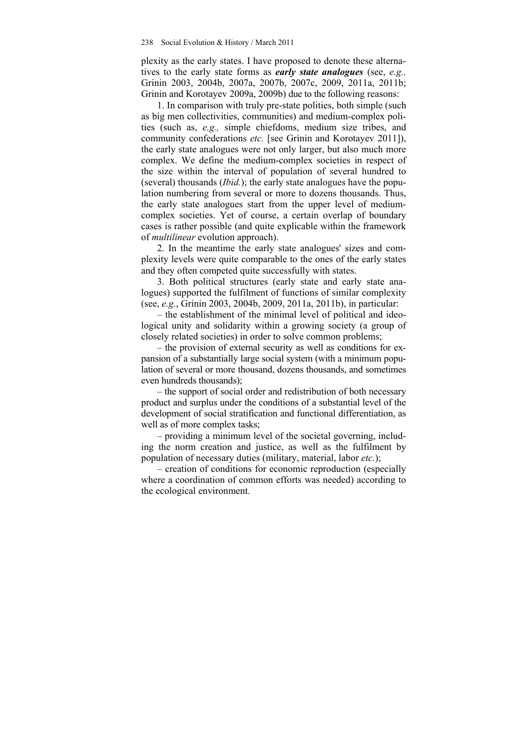plexity as the early states. I have proposed to denote these alternatives to the early state forms as *early state analogues* (see, *e.g.,*  Grinin 2003, 2004b, 2007a, 2007b, 2007c, 2009, 2011a, 2011b; Grinin and Korotayev 2009а, 2009b) due to the following reasons:

1. In comparison with truly pre-state polities, both simple (such as big men collectivities, communities) and medium-complex polities (such as, *e.g.,* simple chiefdoms, medium size tribes, and community confederations *etc.* [see Grinin and Korotayev 2011]), the early state analogues were not only larger, but also much more complex. We define the medium-complex societies in respect of the size within the interval of population of several hundred to (several) thousands (*Ibid.*); the early state analogues have the population numbering from several or more to dozens thousands. Thus, the early state analogues start from the upper level of mediumcomplex societies. Yet of course, a certain overlap of boundary cases is rather possible (and quite explicable within the framework of *multilinear* evolution approach).

2. In the meantime the early state analogues' sizes and complexity levels were quite comparable to the ones of the early states and they often competed quite successfully with states.

3. Both political structures (early state and early state analogues) supported the fulfilment of functions of similar complexity (see, *e.g.*, Grinin 2003, 2004b, 2009, 2011a, 2011b), in particular:

– the establishment of the minimal level of political and ideological unity and solidarity within a growing society (a group of closely related societies) in order to solve common problems;

– the provision of external security as well as conditions for expansion of a substantially large social system (with a minimum population of several or more thousand, dozens thousands, and sometimes even hundreds thousands);

– the support of social order and redistribution of both necessary product and surplus under the conditions of a substantial level of the development of social stratification and functional differentiation, as well as of more complex tasks;

– providing a minimum level of the societal governing, including the norm creation and justice, as well as the fulfilment by population of necessary duties (military, material, labor *etc.*);

– creation of conditions for economic reproduction (especially where a coordination of common efforts was needed) according to the ecological environment.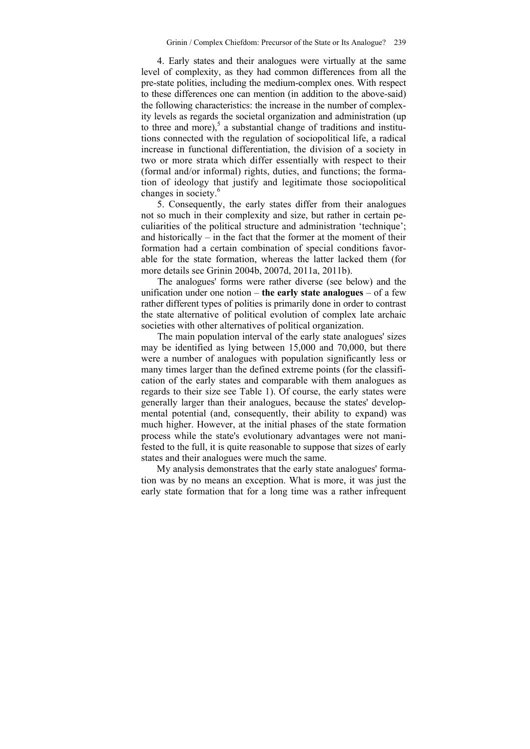4. Early states and their analogues were virtually at the same level of complexity, as they had common differences from all the pre-state polities, including the medium-complex ones. With respect to these differences one can mention (in addition to the above-said) the following characteristics: the increase in the number of complexity levels as regards the societal organization and administration (up to three and more), $5$  a substantial change of traditions and institutions connected with the regulation of sociopolitical life, a radical increase in functional differentiation, the division of a society in two or more strata which differ essentially with respect to their (formal and/or informal) rights, duties, and functions; the formation of ideology that justify and legitimate those sociopolitical changes in society.<sup>6</sup>

5. Consequently, the early states differ from their analogues not so much in their complexity and size, but rather in certain peculiarities of the political structure and administration 'technique'; and historically – in the fact that the former at the moment of their formation had a certain combination of special conditions favorable for the state formation, whereas the latter lacked them (for more details see Grinin 2004b, 2007d, 2011a, 2011b).

The analogues' forms were rather diverse (see below) and the unification under one notion – **the early state analogues** – of a few rather different types of polities is primarily done in order to contrast the state alternative of political evolution of complex late archaic societies with other alternatives of political organization.

The main population interval of the early state analogues' sizes may be identified as lying between 15,000 and 70,000, but there were a number of analogues with population significantly less or many times larger than the defined extreme points (for the classification of the early states and comparable with them analogues as regards to their size see Table 1). Of course, the early states were generally larger than their analogues, because the states' developmental potential (and, consequently, their ability to expand) was much higher. However, at the initial phases of the state formation process while the state's evolutionary advantages were not manifested to the full, it is quite reasonable to suppose that sizes of early states and their analogues were much the same.

My analysis demonstrates that the early state analogues' formation was by no means an exception. What is more, it was just the early state formation that for a long time was a rather infrequent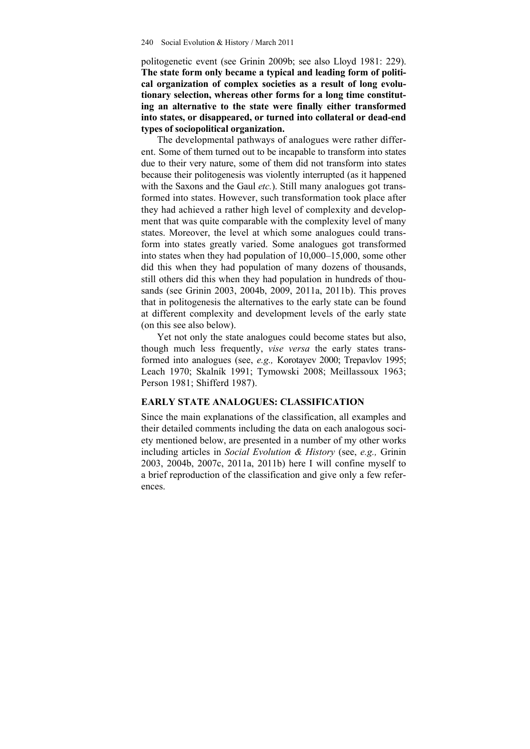politogenetic event (see Grinin 2009b; see also Lloyd 1981: 229). **The state form only became a typical and leading form of political organization of complex societies as a result of long evolutionary selection, whereas other forms for a long time constituting an alternative to the state were finally either transformed into states, or disappeared, or turned into collateral or dead-end types of sociopolitical organization.** 

The developmental pathways of analogues were rather different. Some of them turned out to be incapable to transform into states due to their very nature, some of them did not transform into states because their politogenesis was violently interrupted (as it happened with the Saxons and the Gaul *etc.*). Still many analogues got transformed into states. However, such transformation took place after they had achieved a rather high level of complexity and development that was quite comparable with the complexity level of many states. Moreover, the level at which some analogues could transform into states greatly varied. Some analogues got transformed into states when they had population of 10,000–15,000, some other did this when they had population of many dozens of thousands, still others did this when they had population in hundreds of thousands (see Grinin 2003, 2004b, 2009, 2011a, 2011b). This proves that in politogenesis the alternatives to the early state can be found at different complexity and development levels of the early state (on this see also below).

Yet not only the state analogues could become states but also, though much less frequently, *vise versa* the early states transformed into analogues (see, *e.g.,* Korotayev 2000; Trepavlov 1995; Leach 1970; Skalník 1991; Tymowski 2008; Meillassoux 1963; Person 1981; Shifferd 1987).

#### **EARLY STATE ANALOGUES: CLASSIFICATION**

Since the main explanations of the classification, all examples and their detailed comments including the data on each analogous society mentioned below, are presented in a number of my other works including articles in *Social Evolution & History* (see, *e.g.,* Grinin 2003, 2004b, 2007c, 2011a, 2011b) here I will confine myself to a brief reproduction of the classification and give only a few references.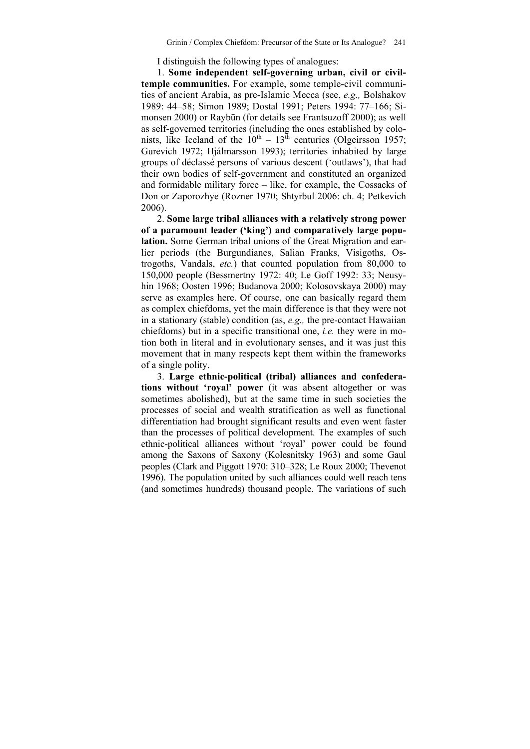I distinguish the following types of analogues:

1. **Some independent self-governing urban, civil or civiltemple communities.** For example, some temple-civil communities of ancient Arabia, as pre-Islamic Mecca (see, *e.g.,* Bolshakov 1989: 44–58; Simon 1989; Dostal 1991; Peters 1994: 77–166; Simonsen 2000) or Raybūn (for details see Frantsuzoff 2000); as well as self-governed territories (including the ones established by colonists, like Iceland of the  $10^{th} - 13^{th}$  centuries (Olgeirsson 1957; Gurevich 1972; Hjálmarsson 1993); territories inhabited by large groups of déclassé persons of various descent ('outlaws'), that had their own bodies of self-government and constituted an organized and formidable military force – like, for example, the Cossacks of Don or Zaporozhye (Rozner 1970; Shtyrbul 2006: ch. 4; Petkevich 2006).

2. **Some large tribal alliances with a relatively strong power of a paramount leader ('king') and comparatively large population.** Some German tribal unions of the Great Migration and earlier periods (the Burgundianes, Salian Franks, Visigoths, Ostrogoths, Vandals, *etc.*) that counted population from 80,000 to 150,000 people (Bessmertny 1972: 40; Le Goff 1992: 33; Neusyhin 1968; Oosten 1996; Budanova 2000; Кolosovskaya 2000) may serve as examples here. Of course, one can basically regard them as complex chiefdoms, yet the main difference is that they were not in a stationary (stable) condition (as, *e.g.,* the pre-contact Hawaiian chiefdoms) but in a specific transitional one, *i.e.* they were in motion both in literal and in evolutionary senses, and it was just this movement that in many respects kept them within the frameworks of a single polity.

3. **Large ethnic-political (tribal) alliances and confederations without 'royal' power** (it was absent altogether or was sometimes abolished), but at the same time in such societies the processes of social and wealth stratification as well as functional differentiation had brought significant results and even went faster than the processes of political development. The examples of such ethnic-political alliances without 'royal' power could be found among the Saxons of Saxony (Kolesnitsky 1963) and some Gaul peoples (Clark and Piggott 1970: 310–328; Le Roux 2000; Thevenot 1996). The population united by such alliances could well reach tens (and sometimes hundreds) thousand people. The variations of such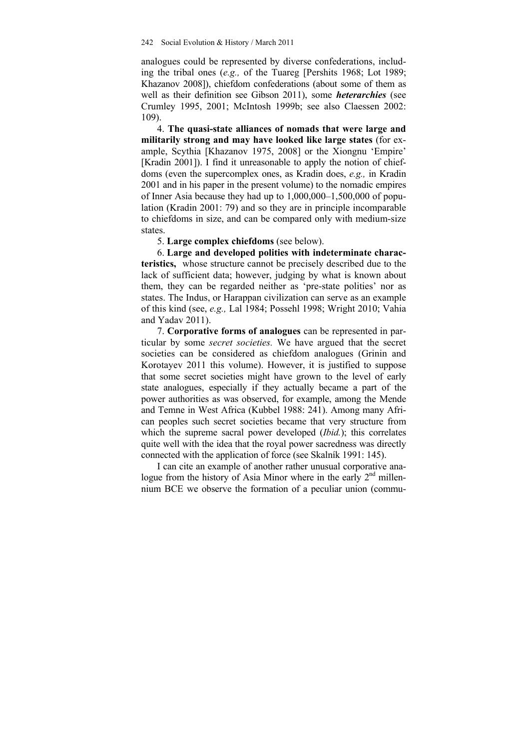analogues could be represented by diverse confederations, including the tribal ones (*e.g.,* of the Tuareg [Pershits 1968; Lot 1989; Khazanov 2008]), chiefdom confederations (about some of them as well as their definition see Gibson 2011), some *heterarchies* (see Crumley 1995, 2001; McIntosh 1999b; see also Claessen 2002: 109).

4. **The quasi-state alliances of nomads that were large and militarily strong and may have looked like large states** (for example, Scythia [Khazanov 1975, 2008] or the Xiongnu 'Empire' [Kradin 2001]). I find it unreasonable to apply the notion of chiefdoms (even the supercomplex ones, as Kradin does, *e.g.,* in Kradin 2001 and in his paper in the present volume) to the nomadic empires of Inner Asia because they had up to 1,000,000–1,500,000 of population (Kradin 2001: 79) and so they are in principle incomparable to chiefdoms in size, and can be compared only with medium-size states.

5. **Large complex chiefdoms** (see below).

6. **Large and developed polities with indeterminate characteristics,** whose structure cannot be precisely described due to the lack of sufficient data; however, judging by what is known about them, they can be regarded neither as 'pre-state polities' nor as states. The Indus, or Harappan civilization can serve as an example of this kind (see, *e.g.,* Lal 1984; Possehl 1998; Wright 2010; Vahia and Yadav 2011).

7. **Corporative forms of analogues** can be represented in particular by some *secret societies.* We have argued that the secret societies can be considered as chiefdom analogues (Grinin and Korotayev 2011 this volume). However, it is justified to suppose that some secret societies might have grown to the level of early state analogues, especially if they actually became a part of the power authorities as was observed, for example, among the Mende and Temne in West Africa (Kubbel 1988: 241). Among many African peoples such secret societies became that very structure from which the supreme sacral power developed (*Ibid.*); this correlates quite well with the idea that the royal power sacredness was directly connected with the application of force (see Skalník 1991: 145).

I can cite an example of another rather unusual corporative analogue from the history of Asia Minor where in the early  $2<sup>nd</sup>$  millennium BCE we observe the formation of a peculiar union (commu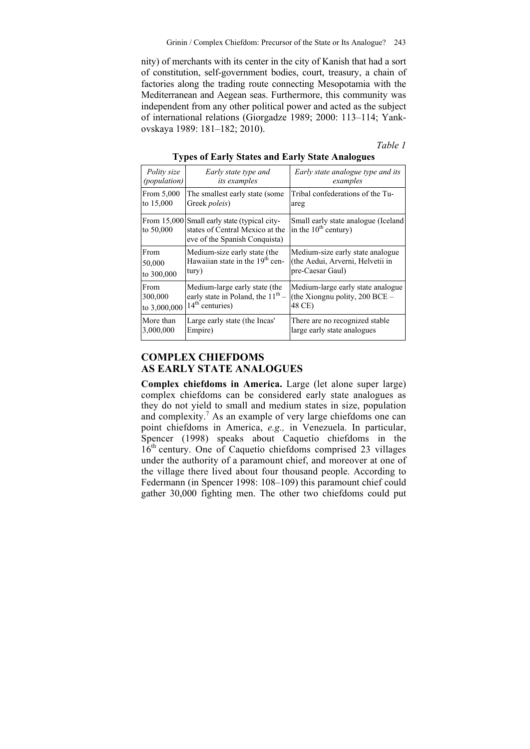nity) of merchants with its center in the city of Kanish that had a sort of constitution, self-government bodies, court, treasury, a chain of factories along the trading route connecting Mesopotamia with the Mediterranean and Aegean seas. Furthermore, this community was independent from any other political power and acted as the subject of international relations (Giorgadze 1989; 2000: 113–114; Yankovskaya 1989: 181–182; 2010).

## *Table 1*

| Polity size         | Early state type and                                                                                             | Early state analogue type and its                             |
|---------------------|------------------------------------------------------------------------------------------------------------------|---------------------------------------------------------------|
| <i>(population)</i> | its examples                                                                                                     | examples                                                      |
| From 5,000          | The smallest early state (some)                                                                                  | Tribal confederations of the Tu-                              |
| to 15,000           | Greek poleis)                                                                                                    | areg                                                          |
| to 50,000           | From 15,000 Small early state (typical city-<br>states of Central Mexico at the<br>eve of the Spanish Conquista) | Small early state analogue (Iceland<br>in the $10th$ century) |
| From                | Medium-size early state (the                                                                                     | Medium-size early state analogue                              |
| 50,000              | Hawaiian state in the 19 <sup>th</sup> cen-                                                                      | (the Aedui, Arverni, Helvetii in                              |
| to 300,000          | tury)                                                                                                            | pre-Caesar Gaul)                                              |
| From                | Medium-large early state (the                                                                                    | Medium-large early state analogue                             |
| 300,000             | early state in Poland, the $11th$ –                                                                              | (the Xiongnu polity, $200$ BCE –                              |
| to 3,000,000        | $14th$ centuries)                                                                                                | 48 CE)                                                        |
| More than           | Large early state (the Incas'                                                                                    | There are no recognized stable                                |
| 3,000,000           | Empire)                                                                                                          | large early state analogues                                   |

#### **Types of Early States and Early State Analogues**

## **COMPLEX CHIEFDOMS AS EARLY STATE ANALOGUES**

**Complex chiefdoms in America.** Large (let alone super large) complex chiefdoms can be considered early state analogues as they do not yield to small and medium states in size, population and complexity.<sup>7</sup> As an example of very large chiefdoms one can point chiefdoms in America, *e.g.,* in Venezuela. In particular, Spencer (1998) speaks about Caquetío chiefdoms in the 16<sup>th</sup> century. One of Caquetío chiefdoms comprised 23 villages under the authority of a paramount chief, and moreover at one of the village there lived about four thousand people. According to Federmann (in Spencer 1998: 108–109) this paramount chief could gather 30,000 fighting men. The other two chiefdoms could put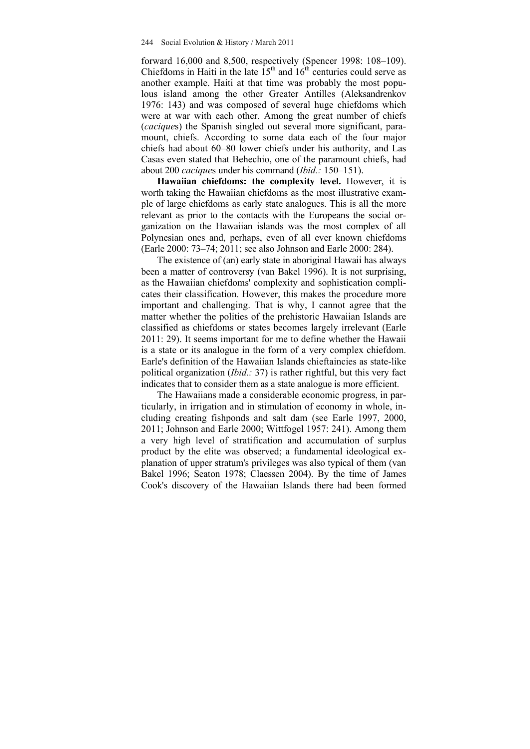forward 16,000 and 8,500, respectively (Spencer 1998: 108–109). Chiefdoms in Haiti in the late  $15<sup>th</sup>$  and  $16<sup>th</sup>$  centuries could serve as another example. Haiti at that time was probably the most populous island among the other Greater Antilles (Aleksandrenkov 1976: 143) and was composed of several huge chiefdoms which were at war with each other. Among the great number of chiefs (*cacique*s) the Spanish singled out several more significant, paramount, chiefs. According to some data each of the four major chiefs had about 60–80 lower chiefs under his authority, and Las Casas even stated that Behechio, one of the paramount chiefs, had about 200 *cacique*s under his command (*Ibid.:* 150–151).

**Hawaiian chiefdoms: the complexity level.** However, it is worth taking the Hawaiian chiefdoms as the most illustrative example of large chiefdoms as early state analogues. This is all the more relevant as prior to the contacts with the Europeans the social organization on the Hawaiian islands was the most complex of all Polynesian ones and, perhaps, even of all ever known chiefdoms (Earle 2000: 73–74; 2011; see also Johnson and Earle 2000: 284).

The existence of (an) early state in aboriginal Hawaii has always been a matter of controversy (van Bakel 1996). It is not surprising, as the Hawaiian chiefdoms' complexity and sophistication complicates their classification. However, this makes the procedure more important and challenging. That is why, I cannot agree that the matter whether the polities of the prehistoric Hawaiian Islands are classified as chiefdoms or states becomes largely irrelevant (Earle 2011: 29). It seems important for me to define whether the Hawaii is a state or its analogue in the form of a very complex chiefdom. Earle's definition of the Hawaiian Islands chieftaincies as state-like political organization (*Ibid.:* 37) is rather rightful, but this very fact indicates that to consider them as a state analogue is more efficient.

The Hawaiians made a considerable economic progress, in particularly, in irrigation and in stimulation of economy in whole, including creating fishponds and salt dam (see Earle 1997, 2000, 2011; Johnson and Earle 2000; Wittfogel 1957: 241). Among them a very high level of stratification and accumulation of surplus product by the elite was observed; a fundamental ideological explanation of upper stratum's privileges was also typical of them (van Bakel 1996; Seaton 1978; Claessen 2004). By the time of James Cook's discovery of the Hawaiian Islands there had been formed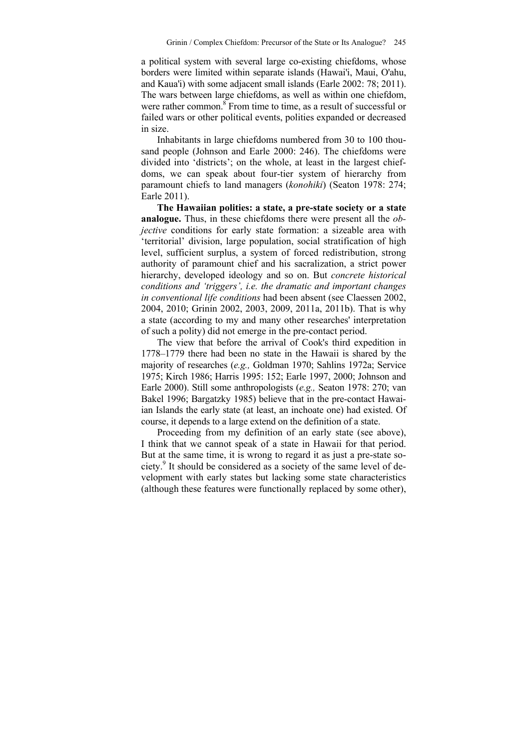a political system with several large co-existing chiefdoms, whose borders were limited within separate islands (Hawai'i, Maui, O'ahu, and Kaua'i) with some adjacent small islands (Earle 2002: 78; 2011). The wars between large chiefdoms, as well as within one chiefdom, were rather common.<sup>8</sup> From time to time, as a result of successful or failed wars or other political events, polities expanded or decreased in size.

Inhabitants in large chiefdoms numbered from 30 to 100 thousand people (Johnson and Earle 2000: 246). The chiefdoms were divided into 'districts'; on the whole, at least in the largest chiefdoms, we can speak about four-tier system of hierarchy from paramount chiefs to land managers (*konohiki*) (Seaton 1978: 274; Earle 2011).

**The Hawaiian polities: a state, a pre-state society or a state analogue.** Thus, in these chiefdoms there were present all the *objective* conditions for early state formation: a sizeable area with 'territorial' division, large population, social stratification of high level, sufficient surplus, a system of forced redistribution, strong authority of paramount chief and his sacralization, a strict power hierarchy, developed ideology and so on. But *concrete historical conditions and 'triggers', i.e. the dramatic and important changes in conventional life conditions* had been absent (see Claessen 2002, 2004, 2010; Grinin 2002, 2003, 2009, 2011a, 2011b). That is why a state (according to my and many other researches' interpretation of such a polity) did not emerge in the pre-contact period.

The view that before the arrival of Cook's third expedition in 1778–1779 there had been no state in the Hawaii is shared by the majority of researches (*e.g.,* Goldman 1970; Sahlins 1972а; Service 1975; Kirch 1986; Harris 1995: 152; Earle 1997, 2000; Johnson and Earle 2000). Still some anthropologists (*e.g.,* Seaton 1978: 270; van Bakel 1996; Bargatzky 1985) believe that in the pre-contact Hawaiian Islands the early state (at least, an inchoate one) had existed. Of course, it depends to a large extend on the definition of a state.

Proceeding from my definition of an early state (see above), I think that we cannot speak of a state in Hawaii for that period. But at the same time, it is wrong to regard it as just a pre-state society.<sup>9</sup> It should be considered as a society of the same level of development with early states but lacking some state characteristics (although these features were functionally replaced by some other),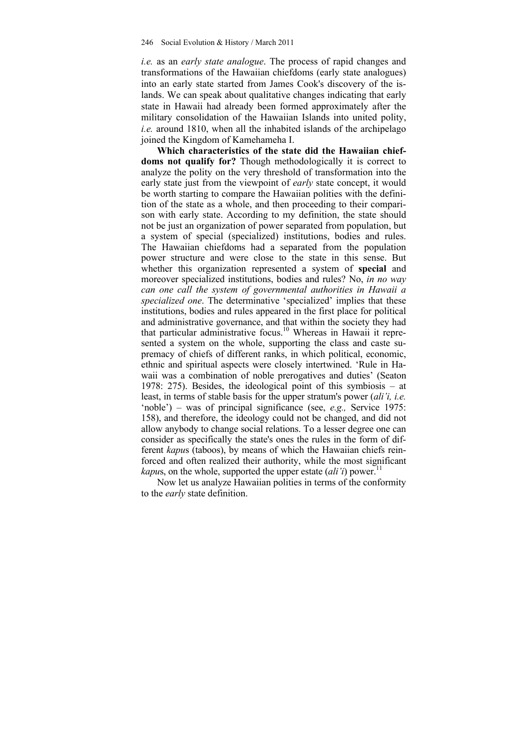*i.e.* as an *early state analogue*. The process of rapid changes and transformations of the Hawaiian chiefdoms (early state analogues) into an early state started from James Cook's discovery of the islands. We can speak about qualitative changes indicating that early state in Hawaii had already been formed approximately after the military consolidation of the Hawaiian Islands into united polity, *i.e.* around 1810, when all the inhabited islands of the archipelago joined the Kingdom of Kamehameha I.

**Which characteristics of the state did the Hawaiian chiefdoms not qualify for?** Though methodologically it is correct to analyze the polity on the very threshold of transformation into the early state just from the viewpoint of *early* state concept, it would be worth starting to compare the Hawaiian polities with the definition of the state as a whole, and then proceeding to their comparison with early state. According to my definition, the state should not be just an organization of power separated from population, but a system of special (specialized) institutions, bodies and rules. The Hawaiian chiefdoms had a separated from the population power structure and were close to the state in this sense. But whether this organization represented a system of **special** and moreover specialized institutions, bodies and rules? No, *in no way can one call the system of governmental authorities in Hawaii a specialized one*. The determinative 'specialized' implies that these institutions, bodies and rules appeared in the first place for political and administrative governance, and that within the society they had that particular administrative focus.<sup>10</sup> Whereas in Hawaii it represented a system on the whole, supporting the class and caste supremacy of chiefs of different ranks, in which political, economic, ethnic and spiritual aspects were closely intertwined. 'Rule in Hawaii was a combination of noble prerogatives and duties' (Seaton 1978: 275). Besides, the ideological point of this symbiosis – at least, in terms of stable basis for the upper stratum's power (*ali'i, i.e.*  'noble') – was of principal significance (see, *e.g.,* Service 1975: 158), and therefore, the ideology could not be changed, and did not allow anybody to change social relations. To a lesser degree one can consider as specifically the state's ones the rules in the form of different *kapu*s (taboos), by means of which the Hawaiian chiefs reinforced and often realized their authority, while the most significant *kapus*, on the whole, supported the upper estate *(ali'i)* power.<sup>11</sup>

Now let us analyze Hawaiian polities in terms of the conformity to the *early* state definition.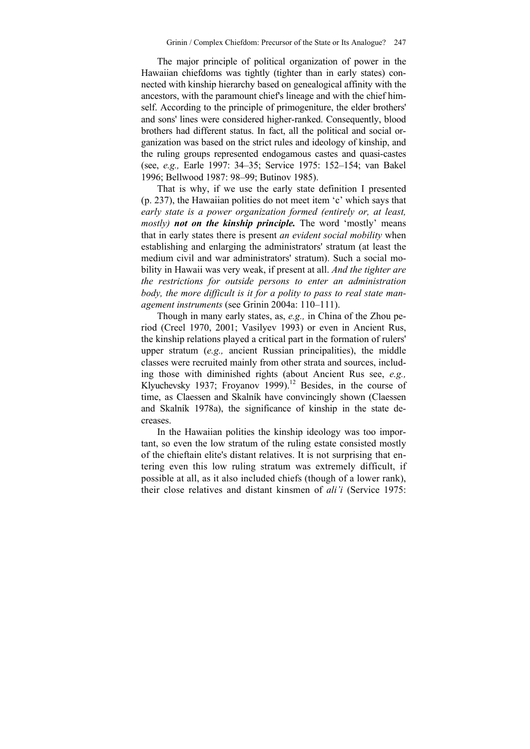The major principle of political organization of power in the Hawaiian chiefdoms was tightly (tighter than in early states) connected with kinship hierarchy based on genealogical affinity with the ancestors, with the paramount chief's lineage and with the chief himself. According to the principle of primogeniture, the elder brothers' and sons' lines were considered higher-ranked. Consequently, blood brothers had different status. In fact, all the political and social organization was based on the strict rules and ideology of kinship, and the ruling groups represented endogamous castes and quasi-castes (see, *e.g.,* Earle 1997: 34–35; Service 1975: 152–154; van Bakel 1996; Bellwood 1987: 98–99; Butinov 1985).

That is why, if we use the early state definition I presented (p. 237), the Hawaiian polities do not meet item 'c' which says that *early state is a power organization formed (entirely or, at least, mostly) not on the kinship principle.* The word 'mostly' means that in early states there is present *an evident social mobility* when establishing and enlarging the administrators' stratum (at least the medium civil and war administrators' stratum). Such a social mobility in Hawaii was very weak, if present at all. *And the tighter are the restrictions for outside persons to enter an administration body, the more difficult is it for a polity to pass to real state management instruments* (see Grinin 2004а: 110–111).

Though in many early states, as, *e.g.,* in China of the Zhou period (Creel 1970, 2001; Vasilyev 1993) or even in Ancient Rus, the kinship relations played a critical part in the formation of rulers' upper stratum (*e.g.,* ancient Russian principalities), the middle classes were recruited mainly from other strata and sources, including those with diminished rights (about Ancient Rus see, *e.g.,* Klyuchevsky 1937; Froyanov 1999).<sup>12</sup> Besides, in the course of time, as Claessen and Skalník have convincingly shown (Claessen and Skalník 1978а), the significance of kinship in the state decreases.

In the Hawaiian polities the kinship ideology was too important, so even the low stratum of the ruling estate consisted mostly of the chieftain elite's distant relatives. It is not surprising that entering even this low ruling stratum was extremely difficult, if possible at all, as it also included chiefs (though of a lower rank), their close relatives and distant kinsmen of *ali'i* (Service 1975: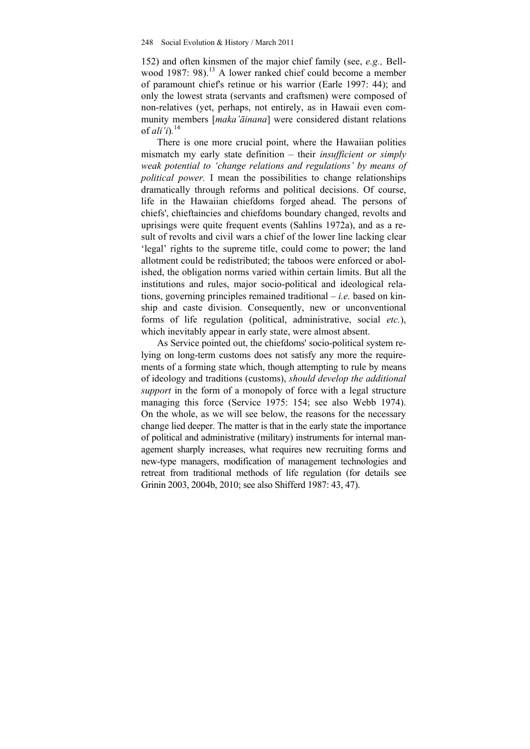152) and often kinsmen of the major chief family (see, *e.g.,* Bellwood 1987: 98).<sup>13</sup> A lower ranked chief could become a member of paramount chief's retinue or his warrior (Earle 1997: 44); and only the lowest strata (servants and craftsmen) were composed of non-relatives (yet, perhaps, not entirely, as in Hawaii even community members [*maka'āinana*] were considered distant relations of *ali'i*)*.* 14

There is one more crucial point, where the Hawaiian polities mismatch my early state definition – their *insufficient or simply weak potential to 'change relations and regulations' by means of political power.* I mean the possibilities to change relationships dramatically through reforms and political decisions. Of course, life in the Hawaiian chiefdoms forged ahead. The persons of chiefs', chieftaincies and chiefdoms boundary changed, revolts and uprisings were quite frequent events (Sahlins 1972a), and as a result of revolts and civil wars a chief of the lower line lacking clear 'legal' rights to the supreme title, could come to power; the land allotment could be redistributed; the taboos were enforced or abolished, the obligation norms varied within certain limits. But all the institutions and rules, major socio-political and ideological relations, governing principles remained traditional – *i.e.* based on kinship and caste division. Consequently, new or unconventional forms of life regulation (political, administrative, social *etc.*), which inevitably appear in early state, were almost absent.

As Service pointed out, the chiefdoms' socio-political system relying on long-term customs does not satisfy any more the requirements of a forming state which, though attempting to rule by means of ideology and traditions (customs), *should develop the additional support* in the form of a monopoly of force with a legal structure managing this force (Service 1975: 154; see also Webb 1974). On the whole, as we will see below, the reasons for the necessary change lied deeper. The matter is that in the early state the importance of political and administrative (military) instruments for internal management sharply increases, what requires new recruiting forms and new-type managers, modification of management technologies and retreat from traditional methods of life regulation (for details see Grinin 2003, 2004b, 2010; see also Shifferd 1987: 43, 47).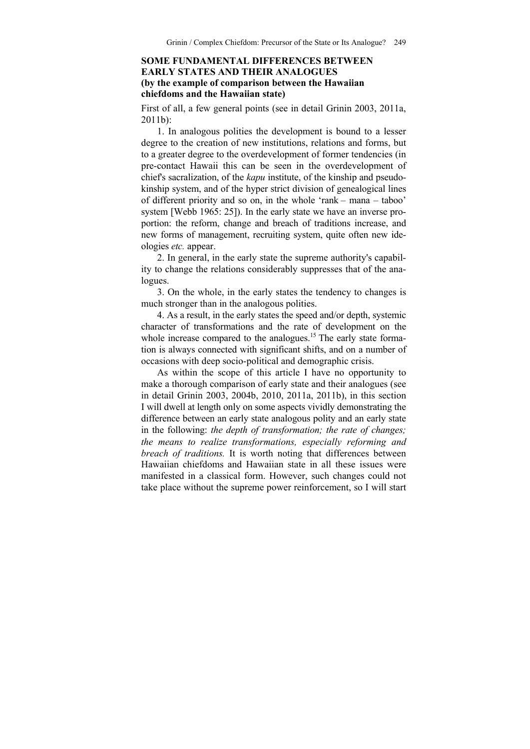## **SOME FUNDAMENTAL DIFFERENCES BETWEEN EARLY STATES AND THEIR ANALOGUES (by the example of comparison between the Hawaiian chiefdoms and the Hawaiian state)**

First of all, a few general points (see in detail Grinin 2003, 2011a, 2011b):

1. In analogous polities the development is bound to a lesser degree to the creation of new institutions, relations and forms, but to a greater degree to the overdevelopment of former tendencies (in pre-contact Hawaii this can be seen in the overdevelopment of chief's sacralization, of the *kapu* institute, of the kinship and pseudokinship system, and of the hyper strict division of genealogical lines of different priority and so on, in the whole 'rank – mana – taboo' system [Webb 1965: 25]). In the early state we have an inverse proportion: the reform, change and breach of traditions increase, and new forms of management, recruiting system, quite often new ideologies *etc.* appear.

2. In general, in the early state the supreme authority's capability to change the relations considerably suppresses that of the analogues.

3. On the whole, in the early states the tendency to changes is much stronger than in the analogous polities.

4. As a result, in the early states the speed and/or depth, systemic character of transformations and the rate of development on the whole increase compared to the analogues.<sup>15</sup> The early state formation is always connected with significant shifts, and on a number of occasions with deep socio-political and demographic crisis.

As within the scope of this article I have no opportunity to make a thorough comparison of early state and their analogues (see in detail Grinin 2003, 2004b, 2010, 2011a, 2011b), in this section I will dwell at length only on some aspects vividly demonstrating the difference between an early state analogous polity and an early state in the following: *the depth of transformation; the rate of changes; the means to realize transformations, especially reforming and breach of traditions.* It is worth noting that differences between Hawaiian chiefdoms and Hawaiian state in all these issues were manifested in a classical form. However, such changes could not take place without the supreme power reinforcement, so I will start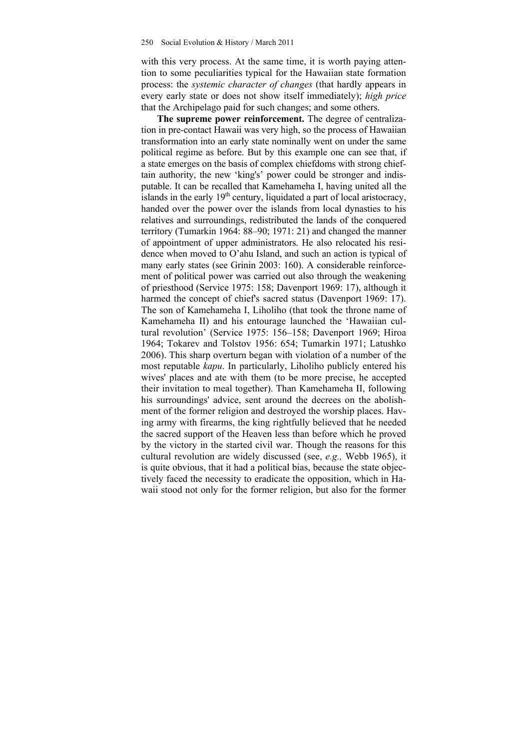with this very process. At the same time, it is worth paying attention to some peculiarities typical for the Hawaiian state formation process: the *systemic character of changes* (that hardly appears in every early state or does not show itself immediately); *high price*  that the Archipelago paid for such changes; and some others.

**The supreme power reinforcement.** The degree of centralization in pre-contact Hawaii was very high, so the process of Hawaiian transformation into an early state nominally went on under the same political regime as before. But by this example one can see that, if a state emerges on the basis of complex chiefdoms with strong chieftain authority, the new 'king's' power could be stronger and indisputable. It can be recalled that Kamehameha I, having united all the islands in the early  $19<sup>th</sup>$  century, liquidated a part of local aristocracy, handed over the power over the islands from local dynasties to his relatives and surroundings, redistributed the lands of the conquered territory (Tumarkin 1964: 88–90; 1971: 21) and changed the manner of appointment of upper administrators. He also relocated his residence when moved to O'ahu Island, and such an action is typical of many early states (see Grinin 2003: 160). A considerable reinforcement of political power was carried out also through the weakening of priesthood (Service 1975: 158; Davenport 1969: 17), although it harmed the concept of chief's sacred status (Davenport 1969: 17). The son of Kamehameha I, Liholiho (that took the throne name of Kamehameha II) and his entourage launched the 'Hawaiian cultural revolution' (Service 1975: 156–158; Davenport 1969; Hiroa 1964; Tokarev and Tolstov 1956: 654; Tumarkin 1971; Latushko 2006). This sharp overturn began with violation of a number of the most reputable *kapu*. In particularly, Liholiho publicly entered his wives' places and ate with them (to be more precise, he accepted their invitation to meal together). Than Kamehameha II, following his surroundings' advice, sent around the decrees on the abolishment of the former religion and destroyed the worship places. Having army with firearms, the king rightfully believed that he needed the sacred support of the Heaven less than before which he proved by the victory in the started civil war. Though the reasons for this cultural revolution are widely discussed (see, *e.g.,* Webb 1965), it is quite obvious, that it had a political bias, because the state objectively faced the necessity to eradicate the opposition, which in Hawaii stood not only for the former religion, but also for the former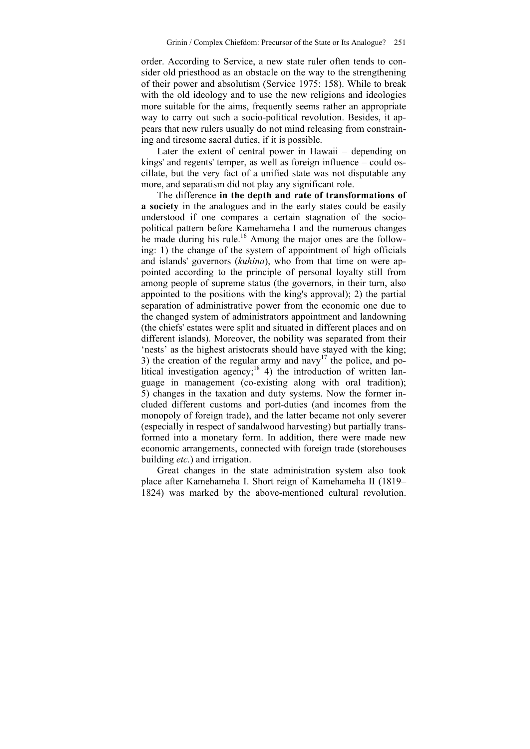order. According to Service, a new state ruler often tends to consider old priesthood as an obstacle on the way to the strengthening of their power and absolutism (Service 1975: 158). While to break with the old ideology and to use the new religions and ideologies more suitable for the aims, frequently seems rather an appropriate way to carry out such a socio-political revolution. Besides, it appears that new rulers usually do not mind releasing from constraining and tiresome sacral duties, if it is possible.

Later the extent of central power in Hawaii – depending on kings' and regents' temper, as well as foreign influence – could oscillate, but the very fact of a unified state was not disputable any more, and separatism did not play any significant role.

The difference **in the depth and rate of transformations of a society** in the analogues and in the early states could be easily understood if one compares a certain stagnation of the sociopolitical pattern before Kamehameha I and the numerous changes he made during his rule.<sup>16</sup> Among the major ones are the following: 1) the change of the system of appointment of high officials and islands' governors (*kuhina*), who from that time on were appointed according to the principle of personal loyalty still from among people of supreme status (the governors, in their turn, also appointed to the positions with the king's approval); 2) the partial separation of administrative power from the economic one due to the changed system of administrators appointment and landowning (the chiefs' estates were split and situated in different places and on different islands). Moreover, the nobility was separated from their 'nests' as the highest aristocrats should have stayed with the king; 3) the creation of the regular army and navy<sup>17</sup> the police, and political investigation agency;<sup>18</sup> 4) the introduction of written language in management (co-existing along with oral tradition); 5) changes in the taxation and duty systems. Now the former included different customs and port-duties (and incomes from the monopoly of foreign trade), and the latter became not only severer (especially in respect of sandalwood harvesting) but partially transformed into a monetary form. In addition, there were made new economic arrangements, connected with foreign trade (storehouses building *etc.*) and irrigation.

Great changes in the state administration system also took place after Kamehameha I. Short reign of Kamehameha II (1819– 1824) was marked by the above-mentioned cultural revolution.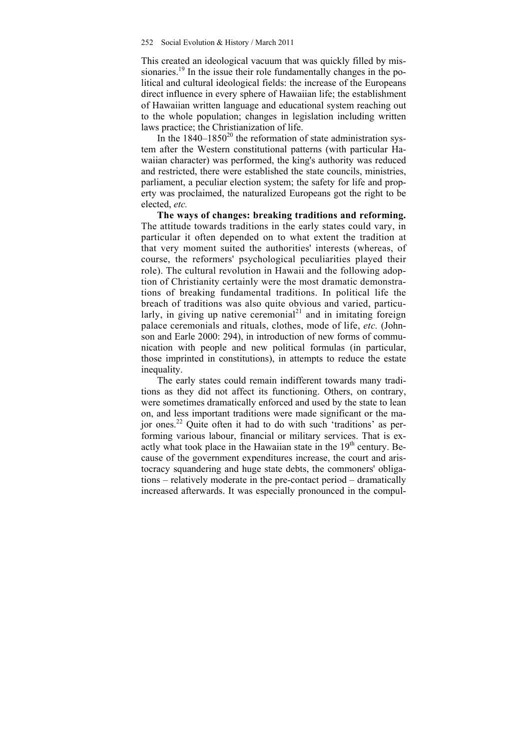This created an ideological vacuum that was quickly filled by missionaries.<sup>19</sup> In the issue their role fundamentally changes in the political and cultural ideological fields: the increase of the Europeans direct influence in every sphere of Hawaiian life; the establishment of Hawaiian written language and educational system reaching out to the whole population; changes in legislation including written laws practice; the Christianization of life.

In the  $1840-1850^{20}$  the reformation of state administration system after the Western constitutional patterns (with particular Hawaiian character) was performed, the king's authority was reduced and restricted, there were established the state councils, ministries, parliament, a peculiar election system; the safety for life and property was proclaimed, the naturalized Europeans got the right to be elected, *etc.*

**The ways of changes: breaking traditions and reforming.** The attitude towards traditions in the early states could vary, in particular it often depended on to what extent the tradition at that very moment suited the authorities' interests (whereas, of course, the reformers' psychological peculiarities played their role). The cultural revolution in Hawaii and the following adoption of Christianity certainly were the most dramatic demonstrations of breaking fundamental traditions. In political life the breach of traditions was also quite obvious and varied, particularly, in giving up native ceremonial<sup>21</sup> and in imitating foreign palace ceremonials and rituals, clothes, mode of life, *etc.* (Johnson and Earle 2000: 294), in introduction of new forms of communication with people and new political formulas (in particular, those imprinted in constitutions), in attempts to reduce the estate inequality.

The early states could remain indifferent towards many traditions as they did not affect its functioning. Others, on contrary, were sometimes dramatically enforced and used by the state to lean on, and less important traditions were made significant or the major ones.<sup>22</sup> Quite often it had to do with such 'traditions' as performing various labour, financial or military services. That is exactly what took place in the Hawaiian state in the 19<sup>th</sup> century. Because of the government expenditures increase, the court and aristocracy squandering and huge state debts, the commoners' obligations – relatively moderate in the pre-contact period – dramatically increased afterwards. It was especially pronounced in the compul-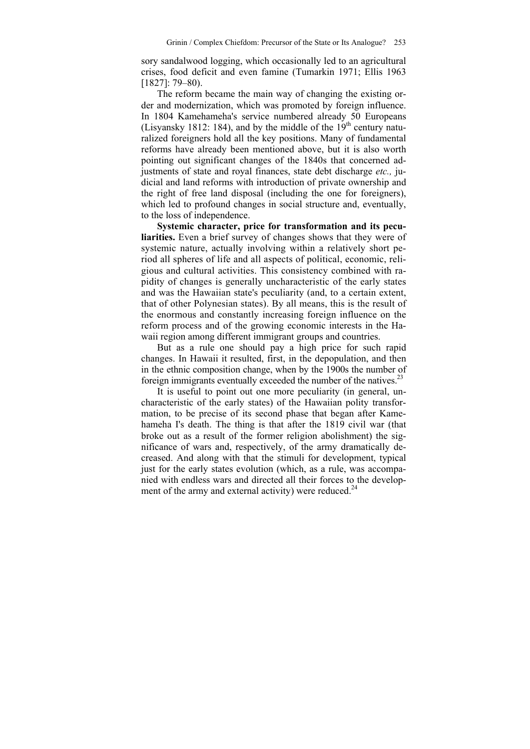sory sandalwood logging, which occasionally led to an agricultural crises, food deficit and even famine (Tumarkin 1971; Ellis 1963 [1827]: 79–80).

The reform became the main way of changing the existing order and modernization, which was promoted by foreign influence. In 1804 Kamehameha's service numbered already 50 Europeans (Lisyansky 1812: 184), and by the middle of the  $19<sup>th</sup>$  century naturalized foreigners hold all the key positions. Many of fundamental reforms have already been mentioned above, but it is also worth pointing out significant changes of the 1840s that concerned adjustments of state and royal finances, state debt discharge *etc.,* judicial and land reforms with introduction of private ownership and the right of free land disposal (including the one for foreigners), which led to profound changes in social structure and, eventually, to the loss of independence.

**Systemic character, price for transformation and its peculiarities.** Even a brief survey of changes shows that they were of systemic nature, actually involving within a relatively short period all spheres of life and all aspects of political, economic, religious and cultural activities. This consistency combined with rapidity of changes is generally uncharacteristic of the early states and was the Hawaiian state's peculiarity (and, to a certain extent, that of other Polynesian states). By all means, this is the result of the enormous and constantly increasing foreign influence on the reform process and of the growing economic interests in the Hawaii region among different immigrant groups and countries.

But as a rule one should pay a high price for such rapid changes. In Hawaii it resulted, first, in the depopulation, and then in the ethnic composition change, when by the 1900s the number of foreign immigrants eventually exceeded the number of the natives.<sup>23</sup>

It is useful to point out one more peculiarity (in general, uncharacteristic of the early states) of the Hawaiian polity transformation, to be precise of its second phase that began after Kamehameha I's death. The thing is that after the 1819 civil war (that broke out as a result of the former religion abolishment) the significance of wars and, respectively, of the army dramatically decreased. And along with that the stimuli for development, typical just for the early states evolution (which, as a rule, was accompanied with endless wars and directed all their forces to the development of the army and external activity) were reduced.<sup>24</sup>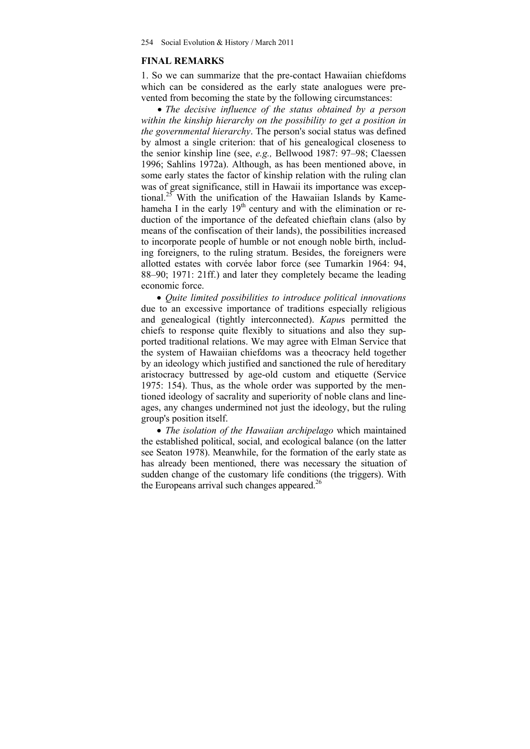#### **FINAL REMARKS**

1. So we can summarize that the pre-contact Hawaiian chiefdoms which can be considered as the early state analogues were prevented from becoming the state by the following circumstances:

 *The decisive influence of the status obtained by a person within the kinship hierarchy on the possibility to get a position in the governmental hierarchy*. The person's social status was defined by almost a single criterion: that of his genealogical closeness to the senior kinship line (see, *e.g.,* Bellwood 1987: 97–98; Claessen 1996; Sahlins 1972a). Although, as has been mentioned above, in some early states the factor of kinship relation with the ruling clan was of great significance, still in Hawaii its importance was exceptional.<sup>25</sup> With the unification of the Hawaiian Islands by Kamehameha I in the early 19<sup>th</sup> century and with the elimination or reduction of the importance of the defeated chieftain clans (also by means of the confiscation of their lands), the possibilities increased to incorporate people of humble or not enough noble birth, including foreigners, to the ruling stratum. Besides, the foreigners were allotted estates with corvée labor force (see Tumarkin 1964: 94, 88–90; 1971: 21ff.) and later they completely became the leading economic force.

 *Quite limited possibilities to introduce political innovations* due to an excessive importance of traditions especially religious and genealogical (tightly interconnected). *Kapu*s permitted the chiefs to response quite flexibly to situations and also they supported traditional relations. We may agree with Elman Service that the system of Hawaiian chiefdoms was a theocracy held together by an ideology which justified and sanctioned the rule of hereditary aristocracy buttressed by age-old custom and etiquette (Service 1975: 154). Thus, as the whole order was supported by the mentioned ideology of sacrality and superiority of noble clans and lineages, any changes undermined not just the ideology, but the ruling group's position itself.

 *The isolation of the Hawaiian archipelago* which maintained the established political, social, and ecological balance (on the latter see Seaton 1978). Meanwhile, for the formation of the early state as has already been mentioned, there was necessary the situation of sudden change of the customary life conditions (the triggers). With the Europeans arrival such changes appeared. $^{26}$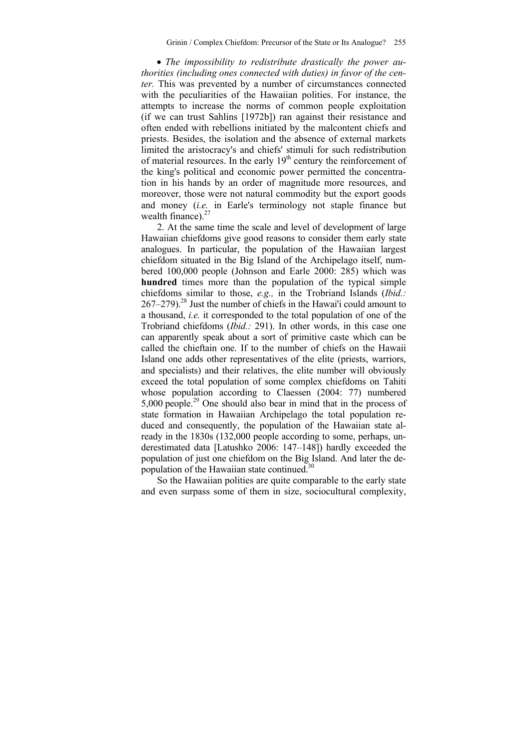*The impossibility to redistribute drastically the power authorities (including ones connected with duties) in favor of the center.* This was prevented by a number of circumstances connected with the peculiarities of the Hawaiian polities. For instance, the attempts to increase the norms of common people exploitation (if we can trust Sahlins [1972b]) ran against their resistance and often ended with rebellions initiated by the malcontent chiefs and priests. Besides, the isolation and the absence of external markets limited the aristocracy's and chiefs' stimuli for such redistribution of material resources. In the early  $19<sup>th</sup>$  century the reinforcement of the king's political and economic power permitted the concentration in his hands by an order of magnitude more resources, and moreover, those were not natural commodity but the export goods and money (*i.e.* in Earle's terminology not staple finance but wealth finance). $<sup>2</sup>$ </sup>

2. At the same time the scale and level of development of large Hawaiian chiefdoms give good reasons to consider them early state analogues. In particular, the population of the Hawaiian largest chiefdom situated in the Big Island of the Archipelago itself, numbered 100,000 people (Johnson and Earle 2000: 285) which was **hundred** times more than the population of the typical simple chiefdoms similar to those, *e.g.,* in the Trobriand Islands (*Ibid.:*  $267-279$ .<sup>28</sup> Just the number of chiefs in the Hawai'i could amount to a thousand, *i.e.* it corresponded to the total population of one of the Trobriand chiefdoms (*Ibid.:* 291). In other words, in this case one can apparently speak about a sort of primitive caste which can be called the chieftain one. If to the number of chiefs on the Hawaii Island one adds other representatives of the elite (priests, warriors, and specialists) and their relatives, the elite number will obviously exceed the total population of some complex chiefdoms on Tahiti whose population according to Claessen (2004: 77) numbered 5,000 people.29 One should also bear in mind that in the process of state formation in Hawaiian Archipelago the total population reduced and consequently, the population of the Hawaiian state already in the 1830s (132,000 people according to some, perhaps, underestimated data [Latushko 2006: 147–148]) hardly exceeded the population of just one chiefdom on the Big Island. And later the depopulation of the Hawaiian state continued.<sup>30</sup>

So the Hawaiian polities are quite comparable to the early state and even surpass some of them in size, sociocultural complexity,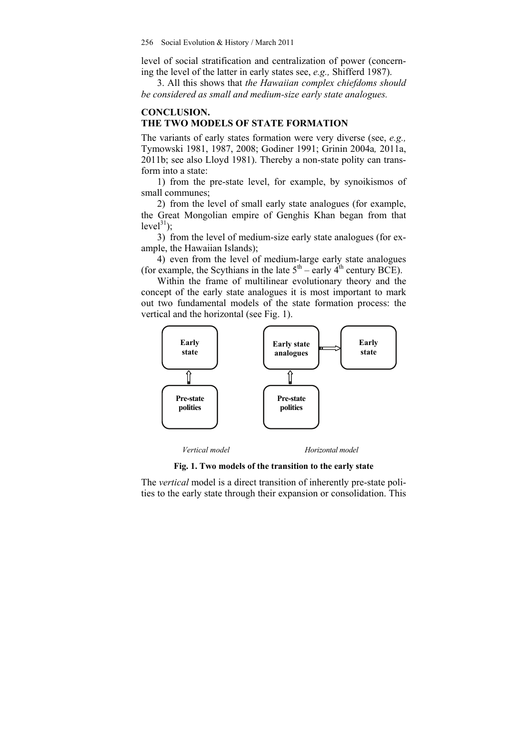256 Social Evolution & History / March 2011

level of social stratification and centralization of power (concerning the level of the latter in early states see, *e.g.,* Shifferd 1987).

3. All this shows that *the Hawaiian complex chiefdoms should be considered as small and medium-size early state analogues.* 

#### **CONCLUSION.**

## **THE TWO MODELS OF STATE FORMATION**

The variants of early states formation were very diverse (see, *e.g.,* Tymowski 1981, 1987, 2008; Godiner 1991; Grinin 2004a*,* 2011a, 2011b; see also Lloyd 1981). Thereby a non-state polity can transform into a state:

1) from the pre-state level, for example, by synoikismos of small communes;

2) from the level of small early state analogues (for example, the Great Mongolian empire of Genghis Khan began from that  $level<sup>31</sup>$ ;

3) from the level of medium-size early state analogues (for example, the Hawaiian Islands);

4) even from the level of medium-large early state analogues (for example, the Scythians in the late  $5<sup>th</sup>$  – early  $4<sup>th</sup>$  century BCE).

Within the frame of multilinear evolutionary theory and the concept of the early state analogues it is most important to mark out two fundamental models of the state formation process: the vertical and the horizontal (see Fig. 1).



**Fig. 1. Two models of the transition to the early state** 

The *vertical* model is a direct transition of inherently pre-state polities to the early state through their expansion or consolidation. This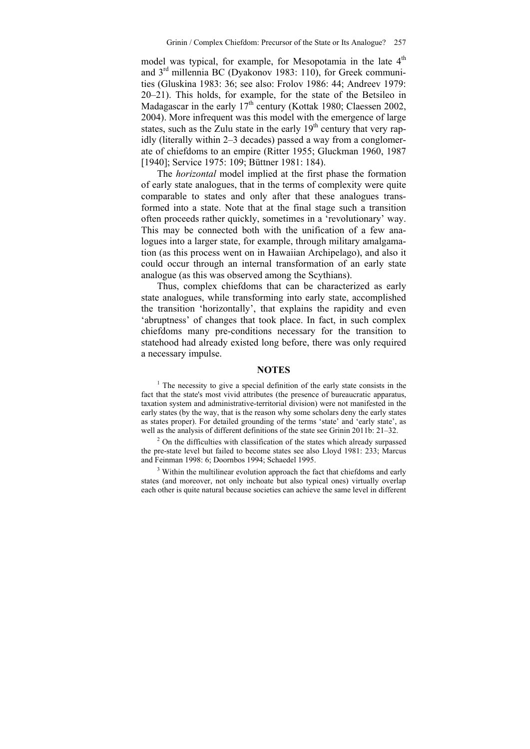model was typical, for example, for Mesopotamia in the late 4<sup>th</sup> and 3rd millennia BC (Dyakonov 1983: 110), for Greek communities (Gluskina 1983: 36; see also: Frolov 1986: 44; Andreev 1979: 20–21). This holds, for example, for the state of the Betsileo in Madagascar in the early  $17<sup>th</sup>$  century (Kottak 1980; Claessen 2002, 2004). More infrequent was this model with the emergence of large states, such as the Zulu state in the early  $19<sup>th</sup>$  century that very rapidly (literally within 2–3 decades) passed a way from a conglomerate of chiefdoms to an empire (Ritter 1955; Gluckman 1960, 1987 [1940]; Service 1975: 109; Büttner 1981: 184).

The *horizontal* model implied at the first phase the formation of early state analogues, that in the terms of complexity were quite comparable to states and only after that these analogues transformed into a state. Note that at the final stage such a transition often proceeds rather quickly, sometimes in a 'revolutionary' way. This may be connected both with the unification of a few analogues into a larger state, for example, through military amalgamation (as this process went on in Hawaiian Archipelago), and also it could occur through an internal transformation of an early state analogue (as this was observed among the Scythians).

Thus, complex chiefdoms that can be characterized as early state analogues, while transforming into early state, accomplished the transition 'horizontally', that explains the rapidity and even 'abruptness' of changes that took place. In fact, in such complex chiefdoms many pre-conditions necessary for the transition to statehood had already existed long before, there was only required a necessary impulse.

#### **NOTES**

<sup>1</sup> The necessity to give a special definition of the early state consists in the fact that the state's most vivid attributes (the presence of bureaucratic apparatus, taxation system and administrative-territorial division) were not manifested in the early states (by the way, that is the reason why some scholars deny the early states as states proper). For detailed grounding of the terms 'state' and 'early state', as well as the analysis of different definitions of the state see Grinin 2011b: 21–32.

 $2$  On the difficulties with classification of the states which already surpassed the pre-state level but failed to become states see also Lloyd 1981: 233; Marcus and Feinman 1998: 6; Doornbos 1994; Schaedel 1995.

<sup>3</sup> Within the multilinear evolution approach the fact that chiefdoms and early states (and moreover, not only inchoate but also typical ones) virtually overlap each other is quite natural because societies can achieve the same level in different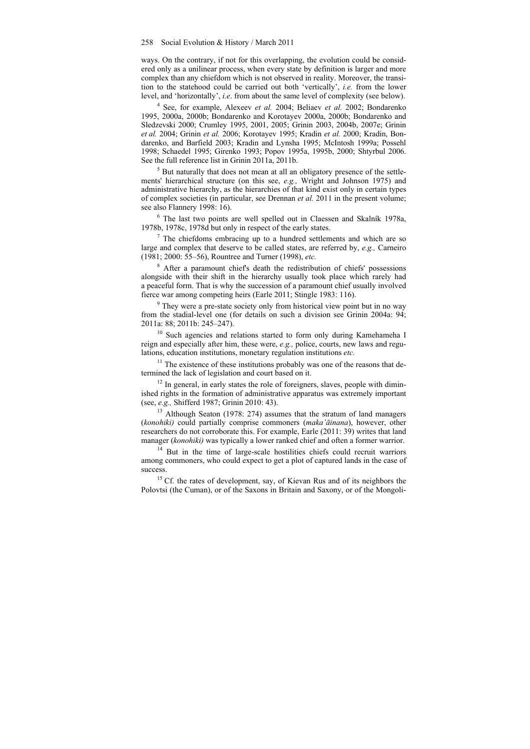#### 258 Social Evolution & History / March 2011

ways. On the contrary, if not for this overlapping, the evolution could be considered only as a unilinear process, when every state by definition is larger and more complex than any chiefdom which is not observed in reality. Moreover, the transition to the statehood could be carried out both 'vertically', *i.e.* from the lower level, and 'horizontally', *i.e.* from about the same level of complexity (see below).

 See, for example, Alexeev *et al.* 2004; Beliaev *et al.* 2002; Bondarenko 1995, 2000a, 2000b; Bondarenko and Korotayev 2000a, 2000b; Bondarenko and Sledzevski 2000; Crumley 1995, 2001, 2005; Grinin 2003, 2004b, 2007e; Grinin *et al.* 2004; Grinin *et al.* 2006; Korotayev 1995; Kradin *et al.* 2000; Kradin, Bondarenko, and Barfield 2003; Kradin and Lynsha 1995; McIntosh 1999a; Possehl 1998; Schaedel 1995; Girenko 1993; Popov 1995a, 1995b, 2000; Shtyrbul 2006. See the full reference list in Grinin  $2011a$ ,  $2011b$ .

 $5$  But naturally that does not mean at all an obligatory presence of the settlements' hierarchical structure (on this see, *e.g.,* Wright and Johnson 1975) and administrative hierarchy, as the hierarchies of that kind exist only in certain types of complex societies (in particular, see Drennan *et al.* 2011 in the present volume; see also Flannery 1998: 16).

6 The last two points are well spelled out in Claessen and Skalník 1978a, 1978b, 1978c, 1978d but only in respect of the early states. 7

 $7$  The chiefdoms embracing up to a hundred settlements and which are so large and complex that deserve to be called states, are referred by, *e.g.,* Carneiro (1981; 2000: 55–56), Rountree and Turner (1998), *etc.*

<sup>8</sup> After a paramount chief's death the redistribution of chiefs' possessions alongside with their shift in the hierarchy usually took place which rarely had a peaceful form. That is why the succession of a paramount chief usually involved fierce war among competing heirs (Earle 2011; Stingle 1983: 116). 9

<sup>9</sup> They were a pre-state society only from historical view point but in no way from the stadial-level one (for details on such a division see Grinin 2004a: 94;

2011a: 88; 2011b: 245–247).<br><sup>10</sup> Such agencies and relations started to form only during Kamehameha I reign and especially after him, these were, *e.g.,* police, courts, new laws and regulations, education institutions, monetary regulation institutions *etc.* 

 $11$  The existence of these institutions probably was one of the reasons that determined the lack of legislation and court based on it.<br><sup>12</sup> In general, in early states the role of foreigners, slaves, people with dimin-

ished rights in the formation of administrative apparatus was extremely important (see,  $e.g.,$  Shifferd 1987; Grinin 2010: 43).

<sup>13</sup> Although Seaton (1978: 274) assumes that the stratum of land managers (*konohiki)* could partially comprise commoners (*maka'āinana*), however, other researchers do not corroborate this. For example, Earle (2011: 39) writes that land manager (konohiki) was typically a lower ranked chief and often a former warrior.

<sup>14</sup> But in the time of large-scale hostilities chiefs could recruit warriors among commoners, who could expect to get a plot of captured lands in the case of success.

<sup>15</sup> Cf. the rates of development, say, of Kievan Rus and of its neighbors the Polovtsi (the Cuman), or of the Saxons in Britain and Saxony, or of the Mongoli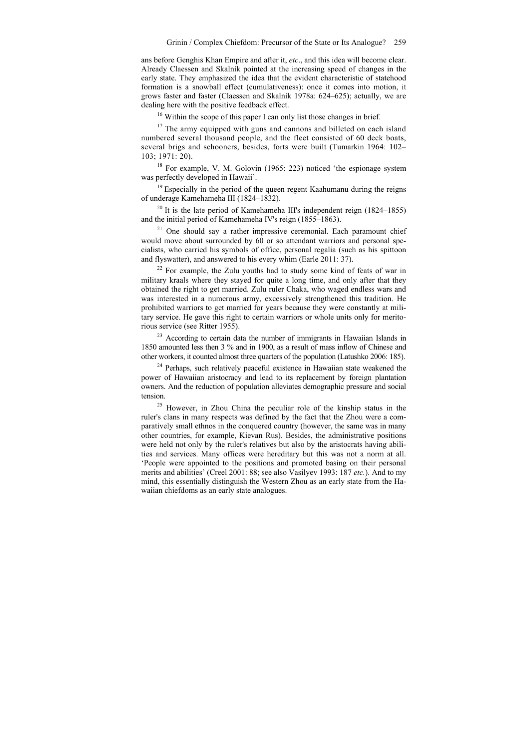ans before Genghis Khan Empire and after it, *etc*., and this idea will become clear. Already Claessen and Skalník pointed at the increasing speed of changes in the early state. They emphasized the idea that the evident characteristic of statehood formation is a snowball effect (cumulativeness): once it comes into motion, it grows faster and faster (Claessen and Skalník 1978a: 624–625); actually, we are dealing here with the positive feedback effect.

<sup>16</sup> Within the scope of this paper I can only list those changes in brief.

<sup>17</sup> The army equipped with guns and cannons and billeted on each island numbered several thousand people, and the fleet consisted of 60 deck boats, several brigs and schooners, besides, forts were built (Tumarkin 1964: 102– 103; 1971: 20).

<sup>18</sup> For example, V. M. Golovin (1965: 223) noticed 'the espionage system was perfectly developed in Hawaii'.

<sup>19</sup> Especially in the period of the queen regent Kaahumanu during the reigns of underage Kamehameha III (1824–1832).

<sup>20</sup> It is the late period of Kamehameha III's independent reign  $(1824-1855)$ and the initial period of Kamehameha IV's reign (1855–1863).

 $21$  One should say a rather impressive ceremonial. Each paramount chief would move about surrounded by  $60$  or so attendant warriors and personal specialists, who carried his symbols of office, personal regalia (such as his spittoon and flyswatter), and answered to his every whim (Earle 2011: 37).

 $22$  For example, the Zulu youths had to study some kind of feats of war in military kraals where they stayed for quite a long time, and only after that they obtained the right to get married. Zulu ruler Chaka, who waged endless wars and was interested in a numerous army, excessively strengthened this tradition. He prohibited warriors to get married for years because they were constantly at military service. He gave this right to certain warriors or whole units only for meritorious service (see Ritter 1955).

 $23$  According to certain data the number of immigrants in Hawaiian Islands in 1850 amounted less then 3 % and in 1900, as a result of mass inflow of Chinese and other workers, it counted almost three quarters of the population (Latushko 2006: 185).

<sup>24</sup> Perhaps, such relatively peaceful existence in Hawaiian state weakened the power of Hawaiian aristocracy and lead to its replacement by foreign plantation owners. And the reduction of population alleviates demographic pressure and social tension.

<sup>25</sup> However, in Zhou China the peculiar role of the kinship status in the ruler's clans in many respects was defined by the fact that the Zhou were a comparatively small ethnos in the conquered country (however, the same was in many other countries, for example, Kievan Rus). Besides, the administrative positions were held not only by the ruler's relatives but also by the aristocrats having abilities and services. Many offices were hereditary but this was not a norm at all. 'People were appointed to the positions and promoted basing on their personal merits and abilities' (Creel 2001: 88; see also Vasilyev 1993: 187 *etc.*). And to my mind, this essentially distinguish the Western Zhou as an early state from the Hawaiian chiefdoms as an early state analogues.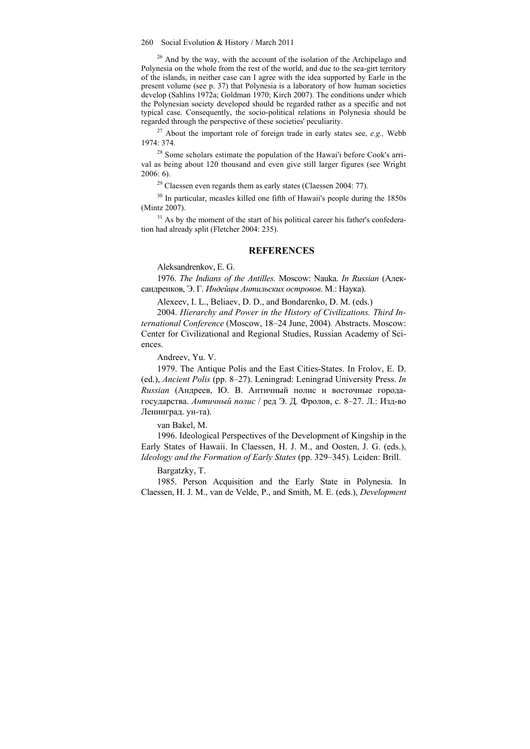#### 260 Social Evolution & History / March 2011

<sup>26</sup> And by the way, with the account of the isolation of the Archipelago and Polynesia on the whole from the rest of the world, and due to the sea-girt territory of the islands, in neither case can I agree with the idea supported by Earle in the present volume (see p. 37) that Polynesia is a laboratory of how human societies develop (Sahlins 1972a; Goldman 1970; Kirch 2007). The conditions under which the Polynesian society developed should be regarded rather as a specific and not typical case. Consequently, the socio-political relations in Polynesia should be regarded through the perspective of these societies' peculiarity.

27 About the important role of foreign trade in early states see, *e.g.,* Webb 1974: 374.

<sup>28</sup> Some scholars estimate the population of the Hawai'i before Cook's arrival as being about 120 thousand and even give still larger figures (see Wright 2006: 6).

 $29$  Claessen even regards them as early states (Claessen 2004: 77).

<sup>30</sup> In particular, measles killed one fifth of Hawaii's people during the 1850s (Mintz 2007).

<sup>31</sup> As by the moment of the start of his political career his father's confederation had already split (Fletcher 2004: 235).

#### **REFERENCES**

#### Aleksandrenkov, E. G.

1976. *The Indians of the Antilles.* Moscow: Nauka. *In Russian* (Александренков, Э. Г. *Индейцы Антильских островов*. М.: Наука).

Alexeev, I. L., Beliaеv, D. D., and Bondarenko, D. M. (eds.)

2004. *Hierarchy and Power in the History of Civilizations. Third International Conference* (Moscow, 18–24 June, 2004)*.* Abstracts. Moscow: Center for Civilizational and Regional Studies, Russian Academy of Sciences.

Andreev, Yu. V.

1979. The Antique Polis and the East Сities-States. In Frolov, E. D. (ed.), *Ancient Polis* (pp. 8–27). Leningrad: Leningrad University Press. *In Russian* (Андреев, Ю. В. Античный полис и восточные городагосударства. *Античный полис* / ред Э. Д. Фролов, c. 8–27. Л.: Изд-во Ленинград. ун-та).

van Bakel, M.

1996. Ideological Perspectives of the Development of Kingship in the Early States of Hawaii. In Claessen, H. J. M., and Oosten, J. G. (eds.), *Ideology and the Formation of Early States* (pp. 329–345). Leiden: Brill.

#### Bargatzky, T.

1985. Person Acquisition and the Early State in Polynesia. In Claessen, H. J. M., van de Velde, P., and Smith, M. E. (eds.), *Development*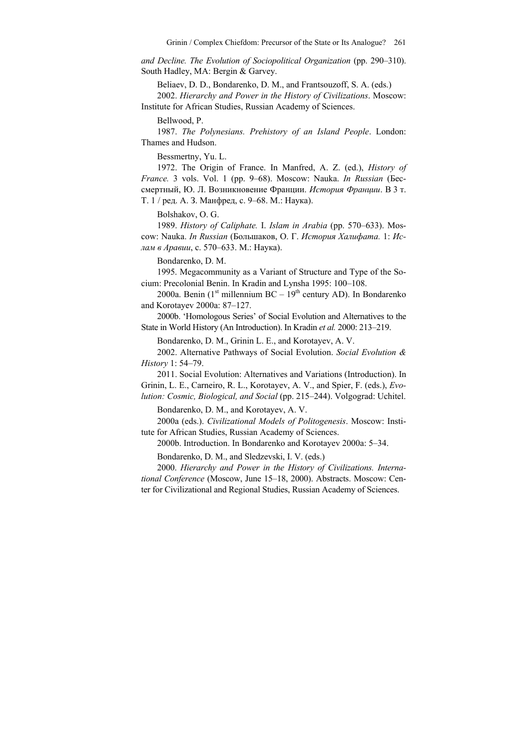*and Decline. The Evolution of Sociopolitical Organization* (pp. 290–310). South Hadley, MA: Bergin & Garvey.

Beliaev, D. D., Bondarenko, D. M., and Frantsouzoff, S. A. (eds.)

2002. *Hierarchy and Power in the History of Civilizations*. Moscow: Institute for African Studies, Russian Academy of Sciences.

Bellwood, P.

1987. *The Polynesians. Prehistory of an Island People*. London: Thames and Hudson.

Bessmertny, Yu. L.

1972. The Origin of France. In Manfred, A. Z. (ed.), *History of France.* 3 vols. Vol. 1 (pp. 9–68). Moscow: Nauka. *In Russian* (Бессмертный, Ю. Л. Возникновение Франции. *История Франции*. В 3 т. Т. 1 / ред. А. З. Манфред, с. 9–68. М.: Наука).

Bolshakov, O. G.

1989. *History of Caliphate.* I. *Islam in Arabia* (pp. 570–633). Moscow: Nauka. *In Russian* (Большаков, О. Г. *История Халифата.* 1: *Ислам в Аравии*, с. 570–633. М.: Наука).

Bondarenko, D. M.

1995. Megacommunity as a Variant of Structure and Type of the Socium: Precolonial Benin. In Kradin and Lynsha 1995: 100–108.

2000a. Benin (1<sup>st</sup> millennium BC – 19<sup>th</sup> century AD). In Bondarenko and Korotayev 2000a: 87–127.

2000b. 'Homologous Series' of Social Evolution and Alternatives to the State in World History (An Introduction). In Kradin *et al.* 2000: 213–219.

Bondarenko, D. M., Grinin L. E., and Korotayev, A. V.

2002. Alternative Pathways of Social Evolution. *Social Evolution & History* 1: 54–79.

2011. Social Evolution: Alternatives and Variations (Introduction). In Grinin, L. E., Carneiro, R. L., Korotayev, A. V., and Spier, F. (eds.), *Evo-*

*lution: Cosmic, Biological, and Social* (pp. 215–244). Volgograd: Uchitel.

Bondarenko, D. M., and Korotayev, A. V.

2000a (eds.). *Civilizational Models of Politogenesis*. Moscow: Institute for African Studies, Russian Academy of Sciences.

2000b. Introduction. In Bondarenko and Korotayev 2000a: 5–34.

Bondarenko, D. M., and Sledzevski, I. V. (eds.)

2000. *Hierarchy and Power in the History of Civilizations. International Conference* (Moscow, June 15–18, 2000). Abstracts. Moscow: Center for Civilizational and Regional Studies, Russian Academy of Sciences.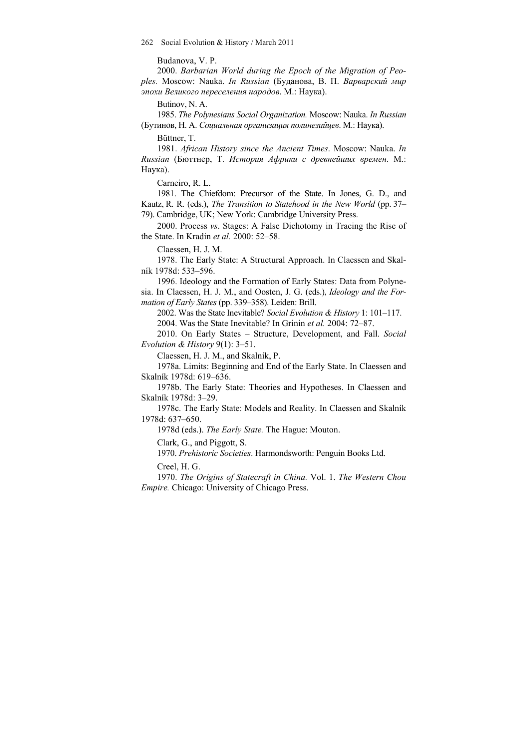Budanova, V. P.

2000. *Barbarian World during the Epoch of the Migration of Peoples.* Moscow: Nauka. *In Russian* (Буданова, В. П. *Варварский мир эпохи Великого переселения народов*. М.: Наука).

Butinov, N. A.

1985. *The Polynesians Social Organization.* Moscow: Nauka. *In Russian* (Бутинов, Н. А. *Социальная организация полинезийцев*. М.: Наука).

Büttner, Т.

1981. *African History since the Ancient Times*. Moscow: Nauka. *In Russian* (Бюттнер, Т. *История Африки с древнейших времен*. М.: Наука).

Carneiro, R. L.

1981. The Chiefdom: Precursor of the State. In Jones, G. D., and Kautz, R. R. (eds.), *The Transition to Statehood in the New World* (pp. 37– 79). Cambridge, UK; New York: Cambridge University Press.

2000. Process *vs*. Stages: A False Dichotomy in Tracing the Rise of the State. In Kradin *et al.* 2000: 52–58.

Claessen, H. J. M.

1978. The Early State: A Structural Approach. In Claessen and Skalník 1978d: 533–596.

1996. Ideology and the Formation of Early States: Data from Polynesia. In Claessen, H. J. M., and Oosten, J. G. (eds.), *Ideology and the Formation of Early States* (pp. 339–358). Leiden: Brill.

2002. Was the State Inevitable? *Social Evolution & History* 1: 101–117. 2004. Was the State Inevitable? In Grinin *et al.* 2004: 72–87.

2010. On Early States – Structure, Development, and Fall. *Social Evolution & History* 9(1): 3–51.

Claessen, H. J. M., and Skalník, P.

1978а. Limits: Beginning and End of the Early State. In Claessen and Skalník 1978d: 619–636.

1978b. The Early State: Theories and Hypotheses. In Claessen and Skalník 1978d: 3–29.

1978c. The Early State: Models and Reality. In Claessen and Skalník 1978d: 637–650.

1978d (eds.). *The Early State.* The Hague: Mouton.

Clark, G., and Piggott, S.

1970. *Prehistoric Societies*. Harmondsworth: Penguin Books Ltd.

Creel, H. G.

1970. *The Origins of Statecraft in China.* Vol. 1. *The Western Chou Empire.* Chicago: University of Chicago Press.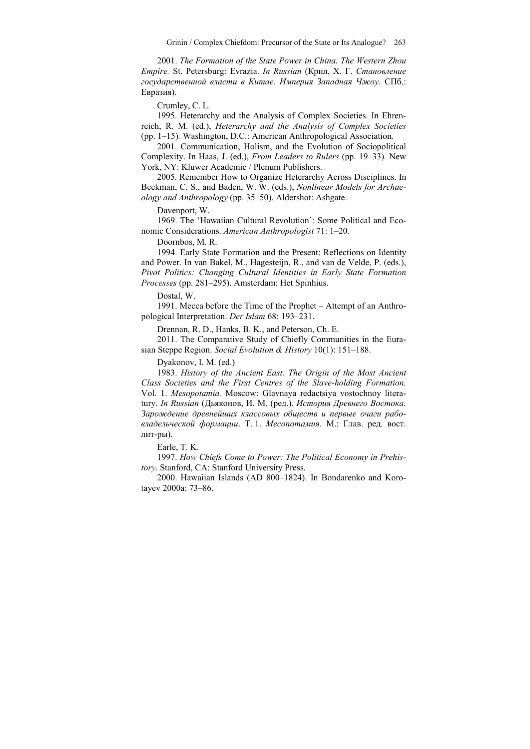2001. *The Formation of the State Power in China. The Western Zhou Empire.* St. Petersburg: Evrazia. *In Russian* (Крил, Х. Г. *Становление государственной власти в Китае. Империя Западная Чжоу*. СПб.: Евразия).

Crumley, C. L.

1995. Heterarchy and the Analysis of Complex Societies. In Ehrenreich, R. M. (ed.), *Heterarchy and the Analysis of Complex Societies* (pp. 1–15)*.* Washington, D.C.: American Anthropological Association*.*

2001. Communication, Holism, and the Evolution of Sociopolitical Complexity. In Haas, J. (ed.), *From Leaders to Rulers* (pp. 19–33)*.* New York, NY: Kluwer Academic / Plenum Publishers.

2005. Remember How to Organize Heterarchy Across Disciplines. In Beekman, C. S., and Baden, W. W. (eds.), *Nonlinear Models for Archaeology and Anthropology* (pp. 35–50). Aldershot: Ashgate.

Davenport, W.

1969. The 'Hawaiian Cultural Revolution': Some Political and Economic Considerations. *American Anthropologist* 71: 1–20.

Doornbos, M. R.

1994. Early State Formation and the Present: Reflections on Identity and Power. In van Bakel, M., Hagesteijn, R., and van de Velde, P. (eds.), *Pivot Politics: Changing Cultural Identities in Early State Formation Processes* (pp. 281–295). Amsterdam: Het Spinhius.

Dostal, W.

1991. Mecca before the Time of the Prophet – Attempt of an Anthropological Interpretation. *Der Islam* 68: 193–231.

Drennan, R. D., Hanks, B. K., and Peterson, Ch. E.

2011. The Comparative Study of Chiefly Communities in the Eurasian Steppe Region. *Social Evolution & History* 10(1): 151–188.

Dyakonov, I. M. (ed.)

1983. *History of the Ancient East. The Origin of the Most Ancient Class Societies and the First Centres of the Slave-holding Formation.* Vol. 1. *Mesopotamia.* Мoscow: Glavnaya redactsiya vostochnoy literatury. *In Russian* (Дьяконов, И. М. (ред.). *История Древнего Востока. Зарождение древнейших классовых обществ и первые очаги рабовладельческой формации*. Т. 1. *Месопотамия.* М.: Глав. ред. вост. лит-ры).

Earle, T. K.

1997. *How Chiefs Come to Power: The Political Economy in Prehistory*. Stanford, CA: Stanford University Press.

2000. Hawaiian Islands (AD 800–1824). In Bondarenko and Korotayev 2000a: 73–86.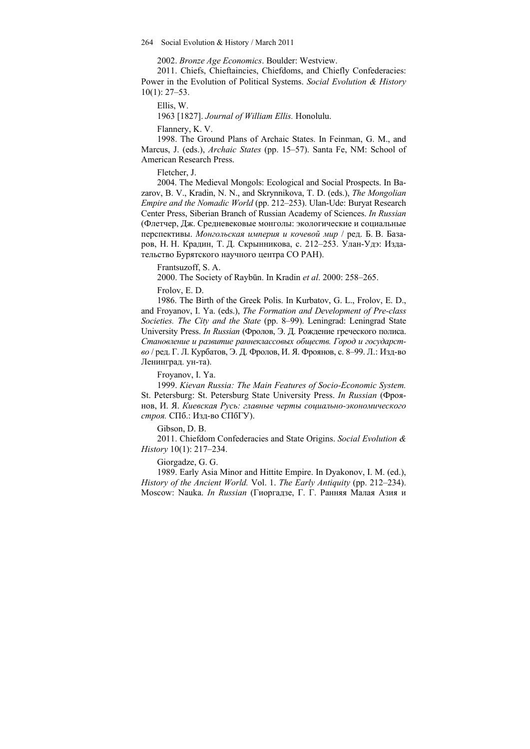2002. *Bronze Age Economics*. Boulder: Westview.

2011. Chiefs, Chieftaincies, Chiefdoms, and Chiefly Confederacies: Power in the Evolution of Political Systems. *Social Evolution & History* 10(1): 27–53.

Ellis, W.

1963 [1827]. *Journal of William Ellis.* Honolulu.

Flannery, K. V.

1998. The Ground Plans of Archaic States. In Feinman, G. M., and Marcus, J. (eds.), *Archaic States* (pp. 15–57). Santa Fe, NM: School of American Research Press.

Fletcher, J.

2004. The Medieval Mongols: Ecological and Social Prospects. In Bazarov, B. V., Kradin, N. N., and Skrynnikova, T. D. (eds.), *The Mongolian Empire and the Nomadic World* (pp. 212–253). Ulan-Ude: Buryat Research Center Press, Siberian Branch of Russian Academy of Sciences. *In Russian*  (Флетчер, Дж. Средневековые монголы: экологические и социальные перспективы. *Монгольская империя и кочевой мир* / ред. Б. В. Базаров, Н. Н. Крадин, Т. Д. Скрынникова, с. 212–253. Улан-Удэ: Издательство Бурятского научного центра СО РАН).

Frantsuzoff, S. A.

2000. The Society of Raybūn. In Kradin *et al*. 2000: 258–265.

Frolov, E. D.

1986. The Birth of the Greek Polis. In Kurbatov, G. L., Frolov, E. D., and Froyanov, I. Ya. (eds.), *The Formation and Development of Pre-class Societies. The City and the State* (pp. 8–99). Leningrad: Leningrad State University Press. *In Russian* (Фролов, Э. Д. Рождение греческого полиса. *Становление и развитие раннеклассовых обществ. Город и государство* / ред. Г. Л. Курбатов, Э. Д. Фролов, И. Я. Фроянов, с. 8–99. Л.: Изд-во Ленинград. ун-та).

Froyanov, I. Ya.

1999. *Kievan Russia: The Main Features of Socio-Economic System.* St. Petersburg: St. Petersburg State University Press. *In Russian* (Фроянов, И. Я. *Киевская Русь: главные черты социально-экономического строя.* СПб.: Изд-во СПбГУ).

Gibson, D. B.

2011. Chiefdom Confederacies and State Origins. *Social Evolution & History* 10(1): 217–234.

Giorgadze, G. G.

1989. Early Asia Minor and Hittite Empire. In Dyakonov, I. M. (ed.), *History of the Ancient World.* Vol. 1. *The Early Antiquity* (pp. 212–234). Moscow: Nauka. *In Russian* (Гиоргадзе, Г. Г. Ранняя Малая Азия и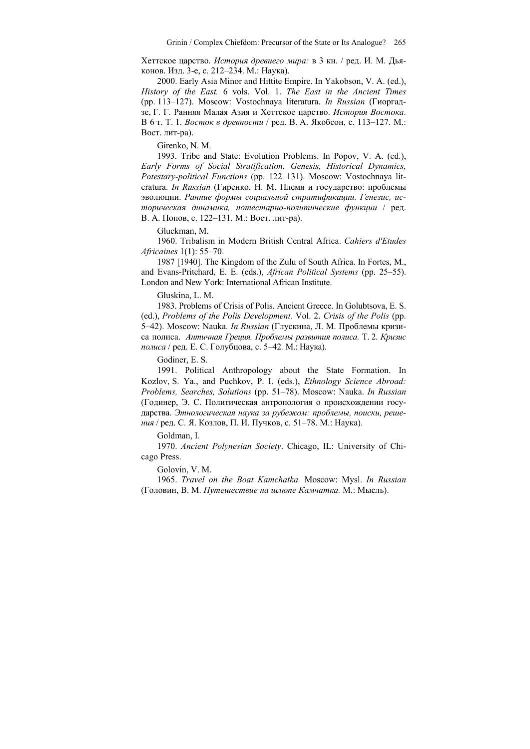Хеттское царство. *История древнего мира:* в 3 кн. / ред. И. М. Дьяконов. Изд. 3-е, с. 212–234. М.: Наука).

2000. Early Asia Minor and Hittite Empire. In Yakobson, V. A. (ed.), *History of the East.* 6 vols. Vol. 1. *The East in the Ancient Times*  (pp. 113–127). Moscow: Vostochnaya literatura. *In Russian* (Гиоргадзе, Г. Г. Ранняя Малая Азия и Хеттское царство. *История Востока*. В 6 т. Т. 1. *Восток в древности* / ред. В. А. Якобсон, с. 113–127. М.: Вост. лит-ра).

Girenko, N. M.

1993. Tribe and State: Evolution Problems. In Popov, V. A. (ed.), *Early Forms of Social Stratification. Genesis, Historical Dynamics, Potestary-political Functions* (pp. 122–131). Мoscow: Vostochnaya literatura. *In Russian* (Гиренко, Н. М. Племя и государство: проблемы эволюции. *Ранние формы социальной стратификации. Генезис, историческая динамика, потестарно-политические функции* / ред. В. А. Попов, c. 122–131*.* М.: Вост. лит-ра).

Gluckman, M.

1960. Tribalism in Modern British Central Africa. *Cahiers d'Etudes Africaines* 1(1): 55–70.

1987 [1940]. The Kingdom of the Zulu of South Africa. In Fortes, M., and Evans-Pritchard, E. E. (eds.), *African Political Systems* (pp. 25–55). London and New York: International African Institute.

Gluskina, L. M.

1983. Problems of Crisis of Polis. Ancient Greece. In Golubtsova, E. S. (ed.), *Problems of the Polis Development.* Vol. 2. *Crisis of the Polis* (pp. 5–42). Moscow: Nauka. *In Russian* (Глускина, Л. М. Проблемы кризиса полиса. *Античная Греция. Проблемы развития полиса.* Т. 2. *Кризис полиса* / ред. Е. С. Голубцова, с. 5–42*.* М.: Наука).

Godiner, E. S.

1991. Political Anthropology about the State Formation. In Kozlov, S. Ya., and Puchkov, P. I. (eds.), *Ethnology Science Abroad: Problems, Searches, Solutions* (pp. 51–78). Moscow: Nauka. *In Russian* (Годинер, Э. С. Политическая антропология о происхождении государства. *Этнологическая наука за рубежом: проблемы, поиски, решения* / ред. С. Я. Козлов, П. И. Пучков, с. 51–78. М.: Наука).

Goldman, I.

1970. *Ancient Polynesian Society*. Chicago, IL: University of Chicago Press.

Golovin, V. M.

1965. *Travel on the Boat Kamchatka.* Moscow: Mysl. *In Russian* (Головин, В. М. *Путешествие на шлюпе Камчатка.* М.: Мысль).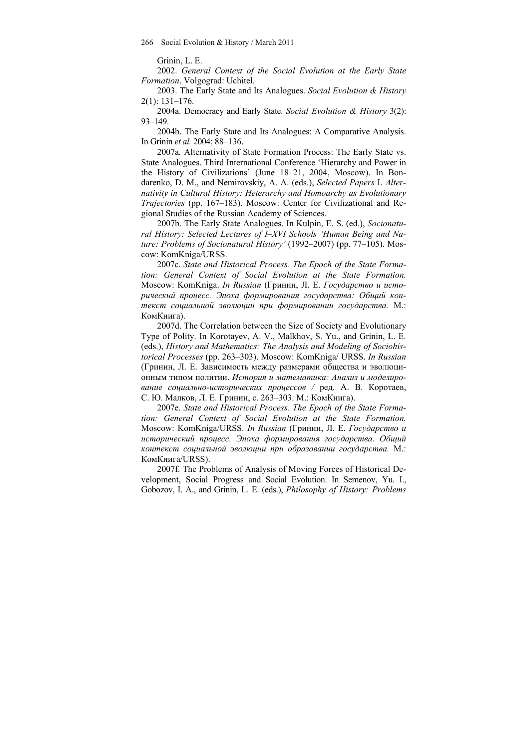Grinin, L. E.

2002. *General Context of the Social Evolution at the Early State Formation*. Volgograd: Uchitel.

2003. The Early State and Its Analogues. *Social Evolution & History* 2(1): 131–176.

2004a. Democracy and Early State. *Social Evolution & History* 3(2): 93–149.

2004b. The Early State and Its Analogues: A Comparative Analysis. In Grinin *et al.* 2004: 88–136.

2007a*.* Alternativity of State Formation Process: The Early State vs. State Analogues. Third International Conference 'Hierarchy and Power in the History of Civilizations' (June 18–21, 2004, Moscow). In Bondarenko, D. M., and Nemirovskiy, A. A. (eds.), *Selected Papers* I. *Alternativity in Cultural History: Heterarchy and Homoarchy as Evolutionary Trajectories* (pp. 167–183). Moscow: Center for Civilizational and Regional Studies of the Russian Academy of Sciences.

2007b. The Early State Analogues. In Kulpin, E. S. (ed.), *Socionatural History: Selected Lectures of I–XVI Schools 'Human Being and Nature: Problems of Socionatural History'* (1992–2007) (pp. 77–105). Moscow: KomKniga/URSS.

2007c. *State and Historical Process. The Epoch of the State Formation: General Context of Social Evolution at the State Formation.*  Мoscow: KomKniga. *In Russian* (Гринин, Л. Е. *Государство и исторический процесс. Эпоха формирования государства: Общий контекст социальной эволюции при формировании государства.* М.: КомКнига).

2007d. The Correlation between the Size of Society and Evolutionary Type of Polity. In Korotayev, A. V., Malkhov, S. Yu., and Grinin, L. E. (eds.), *History and Mathematics: The Analysis and Modeling of Sociohistorical Processes* (pp. 263–303). Moscow: KomKniga/ URSS. *In Russian* (Гринин, Л. Е. Зависимость между размерами общества и эволюционным типом политии. *История и математика: Анализ и моделирование социально-исторических процессов /* ред. А. В. Коротаев, С. Ю. Малков, Л. Е. Гринин, с. 263–303. М.: КомКнига).

2007e. *State and Historical Process. The Epoch of the State Formation: General Context of Social Evolution at the State Formation.*  Мoscow: KomKniga/URSS. *In Russian* (Гринин, Л. Е. *Государство и исторический процесс. Эпоха формирования государства. Общий контекст социальной эволюции при образовании государства.* М.: КомКнига/URSS).

2007f. The Problems of Analysis of Moving Forces of Historical Development, Social Progress and Social Evolution. In Semenov, Yu. I., Gobozov, I. A., and Grinin, L. E. (eds.), *Philosophy of History: Problems*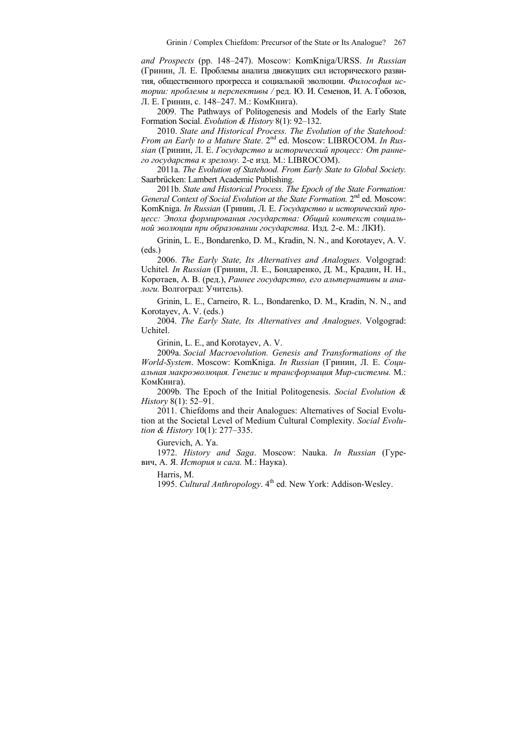*and Prospects* (pp. 148–247). Moscow: KomKniga/URSS. *In Russian*  (Гринин, Л. Е. Проблемы анализа движущих сил исторического развития, общественного прогресса и социальной эволюции. *Философия истории: проблемы и перспективы /* ред. Ю. И. Семенов, И. А. Гобозов, Л. Е. Гринин, с. 148–247. М.: КомКнига).

2009. The Pathways of Politogenesis and Models of the Early State Formation Social. *Evolution & History* 8(1): 92–132.

2010. *State and Historical Process. The Evolution of the Statehood: From an Early to a Mature State*. 2nd ed. Moscow: LIBROCOM. *In Russian* (Гринин, Л. Е. *Государство и исторический процесс: Oт раннего государства к зрелому.* 2-е изд. М.: LIBROCOM).

2011a. *The Evolution of Statehood. From Early State to Global Society.* Saarbrücken: Lambert Academic Publishing.

2011b. *State and Historical Process. The Epoch of the State Formation: General Context of Social Evolution at the State Formation.* 2<sup>nd</sup> ed. Moscow: KomKniga. *In Russian* (Гринин, Л. Е. *Государство и исторический процесс: Эпоха формирования государства: Общий контекст социальной эволюции при образовании государства.* Изд. 2-е. М.: ЛКИ).

Grinin, L. E., Bondarenko, D. M., Kradin, N. N., and Korotayev, A. V.  $(\text{eds.})$ 

2006. *The Early State, Its Alternatives and Analogues.* Volgograd: Uchitel*. In Russian* (Гринин, Л. Е., Бондаренко, Д. М., Крадин, Н. Н., Коротаев, А. В. (ред.), *Раннее государство, его альтернативы и аналоги.* Волгоград: Учитель).

Grinin, L. E., Carneiro, R. L., Bondarenko, D. M., Kradin, N. N., and Korotayev, A. V. (eds.)

2004. *The Early State, Its Alternatives and Analogues*. Volgograd: Uchitel.

Grinin, L. E., and Korotayev, A. V.

2009a. *Social Macroevolution. Genesis and Transformations of the World-System*. Moscow: KomKniga. *In Russian* (Гринин, Л. Е. *Социальная макроэволюция. Генезис и трансформация Мир-системы.* М.: КомКнига).

2009b. The Epoch of the Initial Politogenesis. *Social Evolution & History* 8(1): 52–91.

2011. Chiefdoms and their Analogues: Alternatives of Social Evolution at the Societal Level of Medium Cultural Complexity. *Social Evolution & History* 10(1): 277–335.

Gurevich, A. Ya.

1972. *History and Saga*. Moscow: Nauka. *In Russian* (Гуревич, А. Я. *История и сага.* М.: Наука).

Harris, M.

1995. Cultural Anthropology. 4<sup>th</sup> ed. New York: Addison-Wesley.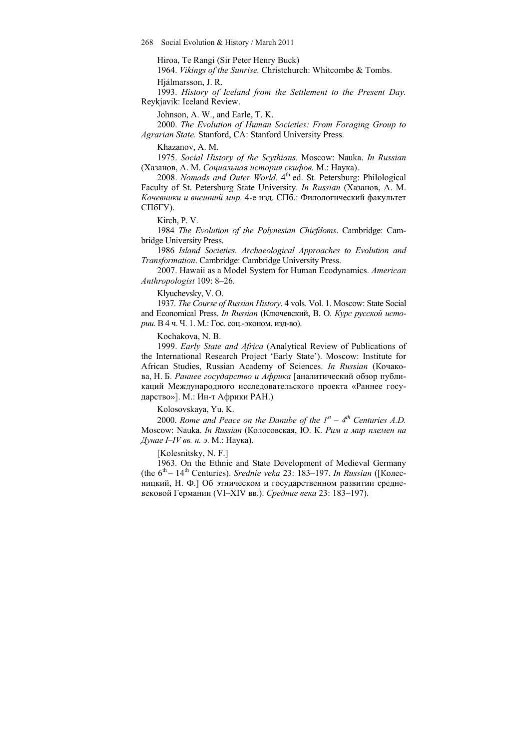Hiroa, Te Rangi (Sir Peter Henry Buck)

1964. *Vikings of the Sunrise.* Christchurch: Whitcombe & Tombs.

Hjálmarsson, J. R.

1993. *History of Iceland from the Settlement to the Present Day.* Reykjavik: Iceland Review.

Johnson, A. W., and Earle, T. K.

2000. *The Evolution of Human Societies: From Foraging Group to Agrarian State.* Stanford, CA: Stanford University Press.

Khazanov, A. M.

1975. *Social History of the Scythians.* Moscow: Nauka. *In Russian* (Хазанов, А. М. *Социальная история скифов.* М.: Наука).

2008. *Nomads and Outer World*. 4<sup>th</sup> ed. St. Petersburg: Philological Faculty of St. Petersburg State University. *In Russian* (Хазанов, А. М. *Кочевники и внешний мир.* 4-е изд. СПб.: Филологический факультет СПбГУ).

Kirch, P. V.

1984 *The Evolution of the Polynesian Chiefdoms*. Cambridge: Cambridge University Press.

1986 *Island Societies. Archaeological Approaches to Evolution and Transformation*. Cambridge: Cambridge University Press.

2007. Hawaii as a Model System for Human Ecodynamics. *American Anthropologist* 109: 8–26.

Klyuchevsky, V. O.

1937. *The Course of Russian History*. 4 vols. Vol. 1. Moscow: State Social and Economical Press. *In Russian* (Ключевский, В. О. *Курс русской истории.* В 4 ч. Ч. 1. М.: Гос. соц.-эконом. изд-во).

Kochakova, N. B.

1999. *Early State and Africa* (Analytical Review of Publications of the International Research Project 'Early State'). Moscow: Institute for African Studies, Russian Academy of Sciences. *In Russian* (Кочакова, Н. Б. *Раннее государство и Африка* [аналитический обзор публикаций Международного исследовательского проекта «Раннее государство»]. М.: Ин-т Африки РАН.)

Kolosovskaya, Yu. K.

2000. *Rome and Peace on the Danube of the*  $I^{st} - 4^{th}$  Centuries A.D. Мoscow: Naukа. *In Russian* (Колосовская, Ю. К. *Рим и мир племен на Дунае I–IV вв. н. э*. М.: Наука).

[Kolesnitsky, N. F.]

1963. On the Ethnic and State Development of Medieval Germany (the 6th – 14th Centuries). *Srednie veka* 23: 183–197. *In Russian* ([Колесницкий, Н. Ф.] Об этническом и государственном развитии средневековой Германии (VI–XIV вв.). *Средние века* 23: 183–197).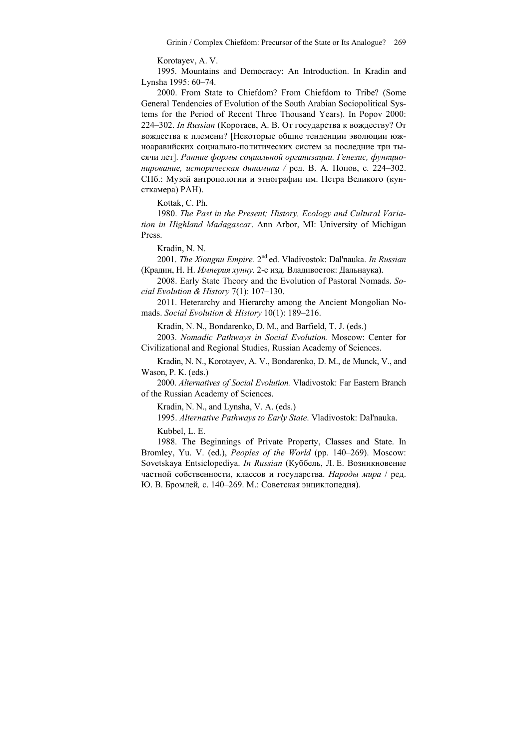Korotayev, A. V.

1995. Mountains and Democracy: An Introduction. In Kradin and Lynsha 1995: 60–74.

2000. From State to Chiefdom? From Chiefdom to Tribe? (Some General Tendencies of Evolution of the South Arabian Sociopolitical Systems for the Period of Recent Three Thousand Years). In Popov 2000: 224–302. *In Russian* (Коротаев, А. В. От государства к вождеству? От вождества к племени? [Некоторые общие тенденции эволюции южноаравийских социально-политических систем за последние три тысячи лет]. *Ранние формы социальной организации. Генезис, функционирование, историческая динамика /* ред. В. А. Попов, с. 224–302. СПб.: Музей антропологии и этнографии им. Петра Великого (кунсткамера) РАН).

Kottak, C. Ph.

1980. *The Past in the Present; History, Ecology and Cultural Variation in Highland Madagascar*. Ann Arbor, MI: University of Michigan Press.

Kradin, N. N.

2001. *The Xiongnu Empire.* 2nd ed. Vladivostok: Dal'nauka. *In Russian* (Крадин, Н. Н. *Империя хунну.* 2-е изд. Владивосток: Дальнаука).

2008. Early State Theory and the Evolution of Pastoral Nomads. *Social Evolution & History* 7(1): 107–130.

2011. Heterarchy and Hierarchy among the Ancient Mongolian Nomads. *Social Evolution & History* 10(1): 189–216.

Kradin, N. N., Bondarenko, D. M., and Barfield, T. J. (eds.)

2003. *Nomadic Pathways in Social Evolution*. Moscow: Center for Civilizational and Regional Studies, Russian Academy of Sciences.

Kradin, N. N., Korotayev, A. V., Bondarenko, D. M., de Munck, V., and Wason, P. K. (eds.)

2000. *Alternatives of Social Evolution.* Vladivostok: Far Eastern Branch of the Russian Academy of Sciences.

Kradin, N. N., and Lynsha, V. A. (eds.)

1995. *Alternative Pathways to Early State*. Vladivostok: Dal'nauka. Kubbel, L. E.

1988. The Beginnings of Private Property, Classes and State. In Bromley, Yu. V. (ed.), *Peoples of the World* (pp. 140–269). Moscow: Sovetskaya Entsiclopediya. *In Russian* (Куббель, Л. Е. Возникновение частной собственности, классов и государства. *Народы мира* / ред. Ю. В. Бромлей*,* с. 140–269. М.: Советская энциклопедия).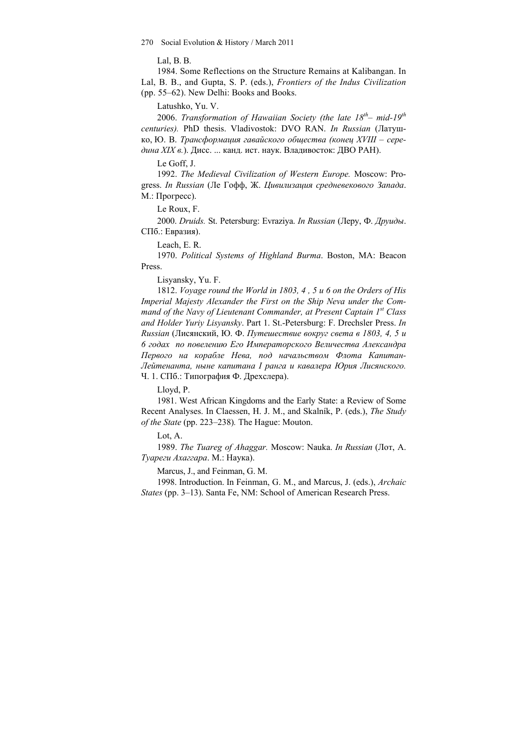Lal, B. B.

1984. Some Reflections on the Structure Remains at Kalibangan. In Lal, B. B., and Gupta, S. P. (eds.), *Frontiers of the Indus Civilization* (pp. 55–62). New Delhi: Books and Books.

Latushko, Yu. V.

2006. *Transformation of Hawaiian Society (the late 18th– mid-19th centuries).* PhD thesis. Vladivostok: DVO RAN. *In Russian* (Латушко, Ю. В. *Трансформация гавайского общества (конец XVIII – середина XIX в.*). Дисс. ... канд. ист. наук. Владивосток: ДВО РАН).

Le Goff, J.

1992. *The Medieval Civilization of Western Europe.* Moscow: Progress. *In Russian* (Ле Гофф, Ж. *Цивилизация средневекового Запада*. М.: Прогресс).

Le Roux, F.

2000. *Druids.* St. Petersburg: Evraziya. *In Russian* (Леру, Ф. *Друиды*. СПб.: Евразия).

Leach, E. R.

1970. *Political Systems of Highland Burma*. Boston, MA: Beacon Press.

Lisyansky, Yu. F.

1812. *Voyage round the World in 1803, 4 , 5 и 6 on the Orders of His Imperial Majesty Alexander the First on the Ship Neva under the Command of the Navy of Lieutenant Commander, at Present Captain 1st Class and Holder Yuriy Lisyansky*. Part 1. St.-Petersburg: F. Drechsler Press. *In Russian* (Лисянский, Ю. Ф. *Путешествие вокруг света в 1803, 4, 5 и 6 годах по повелению Его Императорского Величества Александра Первого на корабле Нева, под начальством Флота Капитан-Лейтенанта, ныне капитана I ранга и кавалера Юрия Лисянского.* Ч. 1. СПб.: Типография Ф. Дрехслера).

Lloyd, P.

1981. West African Kingdoms and the Early State: a Review of Some Recent Analyses. In Claessen, H. J. M., and Skalník, P. (eds.), *The Study of the State* (pp. 223–238)*.* The Hague: Mouton.

Lot, А.

1989. *The Tuareg of Ahaggar.* Мoscow: Nauka. *In Russian* (Лот, А. *Туареги Ахаггара*. М.: Наука).

Marcus, J., and Feinman, G. M.

1998. Introduction. In Feinman, G. M., and Marcus, J. (eds.), *Archaic States* (pp. 3–13). Santa Fe, NM: School of American Research Press.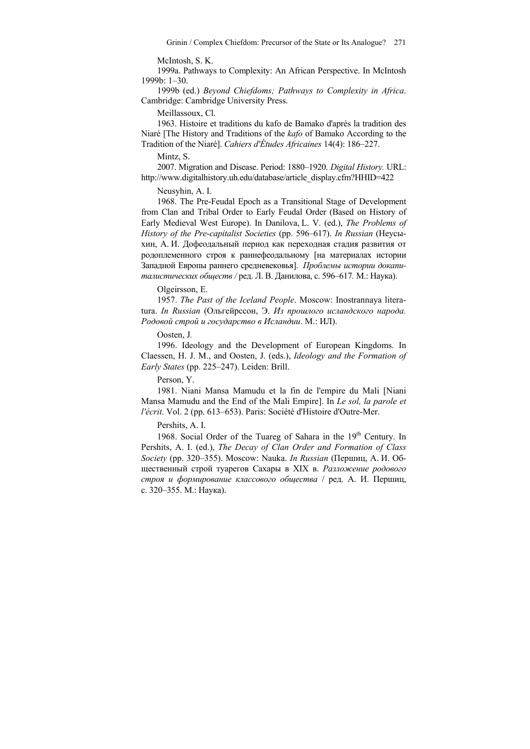McIntosh, S. K.

1999a. Pathways to Complexity: An African Perspective. In McIntosh 1999b: 1–30.

1999b (ed.) *Beyond Chiefdoms; Pathways to Complexity in Africa*. Cambridge: Cambridge University Press.

Meillassoux, Cl.

1963. Histoire et traditions du kafo de Bamako d'après la tradition des Niaré [The History and Traditions of the *kafo* of Bamako According to the Tradition of the Niaré]. *Cahiers d'Études Africaines* 14(4): 186–227.

Mintz, S.

2007. Migration and Disease. Period: 1880–1920. *Digital History.* URL: http://www.digitalhistory.uh.edu/database/article\_display.cfm?HHID=422

Neusyhin, A. I.

1968. The Pre-Feudal Epoch as a Transitional Stage of Development from Clan and Tribal Order to Early Feudal Order (Based on History of Early Medieval West Europe). In Danilova, L. V. (ed.), *The Problems of History of the Pre-capitalist Societies* (pp. 596–617). *In Russian* (Неусыхин, А. И. Дофеодальный период как переходная стадия развития от родоплеменного строя к раннефеодальному [на материалах истории Западной Европы раннего средневековья]. *Проблемы истории докапиталистических обществ /* ред. Л. В. Данилова, с. 596–617*.* М.: Наука).

Olgeirsson, E.

1957. *The Past of the Iceland People*. Moscow: Inostrannaya literatura. *In Russian* (Ольгейрссон, Э. *Из прошлого исландского народа. Родовой строй и государство в Исландии*. М.: ИЛ).

Oosten, J*.* 

1996. Ideology and the Development of European Kingdoms. In Claessen, H. J. M., and Oosten, J. (eds.), *Ideology and the Formation of Early States* (pp. 225–247). Leiden: Brill.

Person, Y.

1981. Niani Mansa Mamudu et la fin de l'empire du Mali [Niani Mansa Mamudu and the End of the Mali Empire]. In *Le sol, la parole et l'écrit*. Vol. 2 (pp. 613–653). Paris: Société d'Histoire d'Outre-Mer.

Pershits, A. I.

1968. Social Order of the Tuareg of Sahara in the  $19<sup>th</sup>$  Century. In Pershits, A. I. (ed.), *The Decay of Clan Order and Formation of Class Society* (pp. 320–355). Moscow: Nauka. *In Russian* (Першиц, А. И. Общественный строй туарегов Сахары в XIX в. *Разложение родового строя и формирование классового общества* / ред. А. И. Першиц, с. 320–355. М.: Наука).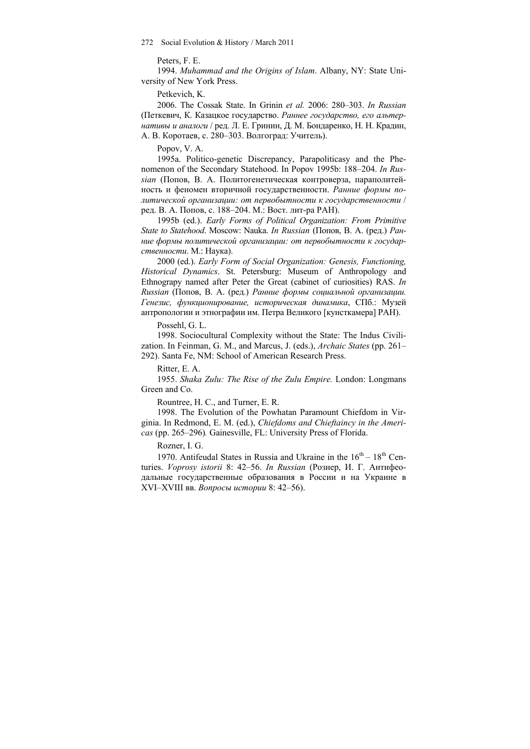Peters, F. E.

1994. *Muhammad and the Origins of Islam*. Albany, NY: State University of New York Press.

Petkevich, K.

2006. The Cossak State. In Grinin *et al.* 2006: 280–303. *In Russian* (Петкевич, К. Казацкое государство. *Раннее государство, его альтернативы и аналоги* / ред. Л. Е. Гринин, Д. М. Бондаренко, Н. Н. Крадин, А. В. Коротаев, с. 280–303. Волгоград: Учитель).

Popov, V. A.

1995a. Politico-genetic Discrepancy, Parapoliticasy and the Phenomenon of the Secondary Statehood. In Popov 1995b: 188–204. *In Russian* (Попов, В. А. Политогенетическая контроверза, параполитейность и феномен вторичной государственности. *Ранние формы политической организации: от первобытности к государственности* / ред. В. А. Попов, с. 188–204. М.: Вост. лит-ра РАН).

1995b (ed.). *Early Forms of Political Organization: From Primitive State to Statehood*. Moscow: Nauka. *In Russian* (Попов, В. А. (ред.) *Ранние формы политической организации: от первобытности к государственности*. М.: Наука).

2000 (ed.). *Early Form of Social Organization: Genesis, Functioning, Historical Dynamics*. St. Petersburg: Museum of Anthropology and Ethnograpy named after Peter the Great (cabinet of curiosities) RAS. *In Russian* (Попов, В. А. (ред.) *Ранние формы социальной организации. Генезис, функционирование, историческая динамика*, СПб.: Музей антропологии и этнографии им. Петра Великого [кунсткамера] РАН).

Possehl, G. L.

1998. Sociocultural Complexity without the State: The Indus Civilization. In Feinman, G. M., and Marcus, J. (eds.), *Archaic States* (pp. 261– 292). Santa Fe, NM: School of American Research Press.

Ritter, E. A.

1955. *Shaka Zulu: The Rise of the Zulu Empire.* London: Longmans Green and Co.

Rountree, H. C., and Turner, E. R.

1998. The Evolution of the Powhatan Paramount Chiefdom in Virginia. In Redmond, E. M. (ed.), *Chiefdoms and Chieftaincy in the Americas* (pp. 265–296)*.* Gainesville, FL: University Press of Florida.

Rozner, I. G.

1970. Antifeudal States in Russia and Ukraine in the  $16<sup>th</sup> - 18<sup>th</sup>$  Centuries. *Voprosy istorii* 8: 42–56. *In Russian* (Рознер, И. Г. Антифеодальные государственные образования в России и на Украине в XVI–XVIII вв. *Вопросы истории* 8: 42–56).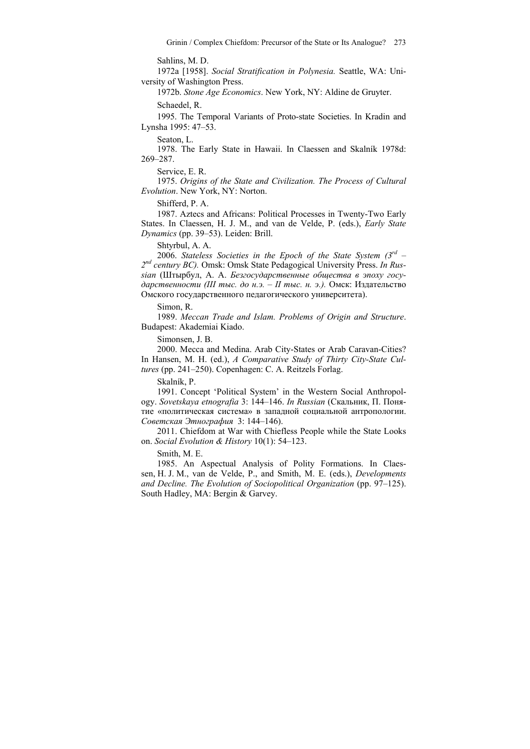Sahlins, M. D.

1972a [1958]. *Social Stratification in Polynesia.* Seattle, WA: University of Washington Press.

1972b. *Stone Age Economics*. New York, NY: Aldine de Gruyter. Schaedel, R.

1995. The Temporal Variants of Proto-state Societies. In Kradin and Lynsha 1995: 47–53.

Seaton, L.

1978. The Early State in Hawaii. In Claessen and Skalník 1978d: 269–287.

Service, E. R.

1975. *Origins of the State and Civilization. The Process of Cultural Evolution*. New York, NY: Norton.

Shifferd, P. A.

1987. Aztecs and Africans: Political Processes in Twenty-Two Early States. In Claessen, H. J. M., and van de Velde, P. (eds.), *Early State Dynamics* (pp. 39–53). Leiden: Brill.

Shtyrbul, A. A.

2006. *Stateless Societies in the Epoch of the State System (3rd – 2nd century BC).* Omsk: Omsk State Pedagogical University Press. *In Russian* (Штырбул, А. А. *Безгосударственные общества в эпоху государственности (III тыс. до н.э. – II тыс. н. э.).* Омск: Издательство Омского государственного педагогического университета).

Simon, R.

1989. *Meccan Trade and Islam. Problems of Origin and Structure*. Budapest: Akademiai Kiado.

Simonsen, J. B.

2000. Mecca and Medina. Arab City-States or Arab Caravan-Cities? In Hansen, M. H. (ed.), *A Comparative Study of Thirty City-State Cultures* (pp. 241–250). Copenhagen: C. A. Reitzels Forlag.

Skalník, P.

1991. Concept 'Political System' in the Western Social Anthropology. *Sovetskaya etnografia* 3: 144–146. *In Russian* (Скальник, П. Понятие «политическая система» в западной социальной антропологии. *Советская Этнография* 3: 144–146).

2011. Chiefdom at War with Chiefless People while the State Looks on. *Social Evolution & History* 10(1): 54–123.

Smith, M. E.

1985. An Aspectual Analysis of Polity Formations. In Claessen, H. J. M., van de Velde, P., and Smith, M. E. (eds.), *Developments and Decline. The Evolution of Sociopolitical Organization* (pp. 97–125). South Hadley, MA: Bergin & Garvey.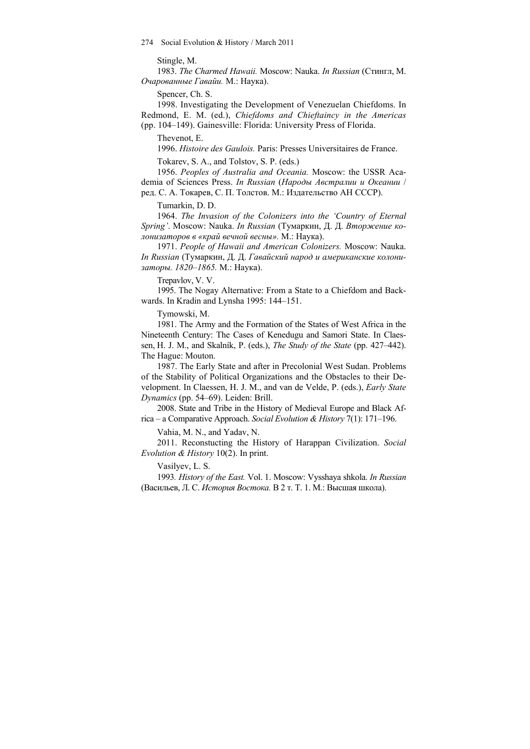Stingle, M.

1983. *The Charmed Hawaii.* Moscow: Nauka. *In Russian* (Стингл, М. *Очарованные Гавайи.* М.: Наука).

Spencer, Ch. S.

1998. Investigating the Development of Venezuelan Chiefdoms. In Redmond, E. M. (ed.), *Chiefdoms and Chieftaincy in the Americas*  (pp. 104–149). Gainesville: Florida: University Press of Florida.

Thevenot, E.

1996. *Histoire des Gaulois.* Paris: Presses Universitaires de France.

Tokarev, S. A., and Tolstov, S. P. (eds.)

1956. *Peoples of Australia and Oceania.* Moscow: the USSR Academia of Sciences Press. *In Russian* (*Народы Австралии и Океании* /

ред. С. А. Токарев, С. П. Толстов. М.: Издательство АН СССР).

Tumarkin, D. D.

1964. *The Invasion of the Colonizers into the 'Country of Eternal Spring'*. Moscow: Nauka. *In Russian* (Тумаркин, Д. Д. *Вторжение колонизаторов в «край вечной весны».* М.: Наука).

1971. *People of Hawaii and American Colonizers.* Moscow: Nauka. *In Russian* (Тумаркин, Д. Д. *Гавайский народ и американские колонизаторы. 1820–1865.* М.: Наука).

Trepavlov, V. V.

1995. The Nogay Alternative: From a State to a Chiefdom and Backwards. In Kradin and Lynsha 1995: 144–151.

Tymowski, M.

1981. The Army and the Formation of the States of West Africa in the Nineteenth Century: The Cases of Kenedugu and Samori State. In Claessen, H. J. M., and Skalník, P. (eds.), *The Study of the State* (pp. 427–442). The Hague: Mouton.

1987. The Early State and after in Precolonial West Sudan. Problems of the Stability of Political Organizations and the Obstacles to their Development. In Claessen, H. J. M., and van de Velde, P. (eds.), *Early State Dynamics* (pp. 54–69). Leiden: Brill.

2008. State and Tribe in the History of Medieval Europe and Black Africa – a Comparative Approach. *Social Evolution & History* 7(1): 171–196.

Vahia, M. N., and Yadav, N.

2011. Reconstucting the History of Harappan Civilization. *Social Evolution & History* 10(2). In print.

Vasilyev, L. S.

1993*. History of the East.* Vol. 1. Moscow: Vysshaya shkola. *In Russian* (Васильев, Л. С. *История Востока.* В 2 т. Т. 1. М.: Высшая школа).